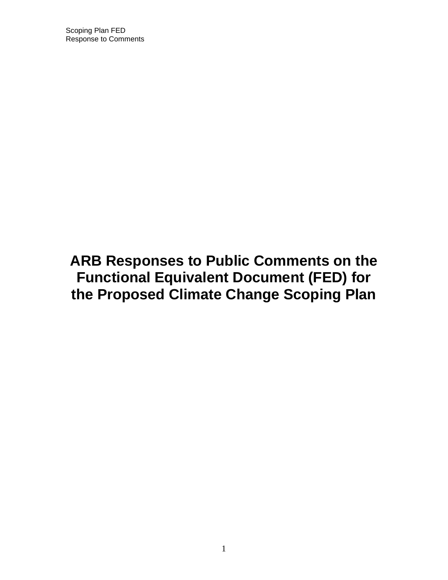Scoping Plan FED Response to Comments

# **ARB Responses to Public Comments on the Functional Equivalent Document (FED) for the Proposed Climate Change Scoping Plan**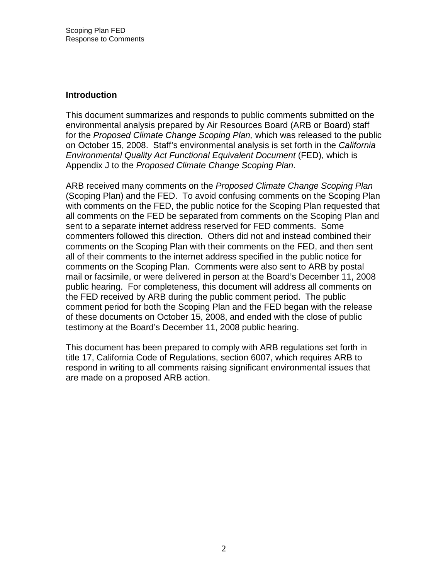#### **Introduction**

 This document summarizes and responds to public comments submitted on the environmental analysis prepared by Air Resources Board (ARB or Board) staff for the Proposed Climate Change Scoping Plan, which was released to the public on October 15, 2008. Staff's environmental analysis is set forth in the California Environmental Quality Act Functional Equivalent Document (FED), which is Appendix J to the Proposed Climate Change Scoping Plan.

ARB received many comments on the Proposed Climate Change Scoping Plan (Scoping Plan) and the FED. To avoid confusing comments on the Scoping Plan with comments on the FED, the public notice for the Scoping Plan requested that all comments on the FED be separated from comments on the Scoping Plan and sent to a separate internet address reserved for FED comments. Some commenters followed this direction. Others did not and instead combined their comments on the Scoping Plan with their comments on the FED, and then sent all of their comments to the internet address specified in the public notice for comments on the Scoping Plan. Comments were also sent to ARB by postal mail or facsimile, or were delivered in person at the Board's December 11, 2008 public hearing. For completeness, this document will address all comments on the FED received by ARB during the public comment period. The public comment period for both the Scoping Plan and the FED began with the release of these documents on October 15, 2008, and ended with the close of public testimony at the Board's December 11, 2008 public hearing.

 This document has been prepared to comply with ARB regulations set forth in title 17, California Code of Regulations, section 6007, which requires ARB to respond in writing to all comments raising significant environmental issues that are made on a proposed ARB action.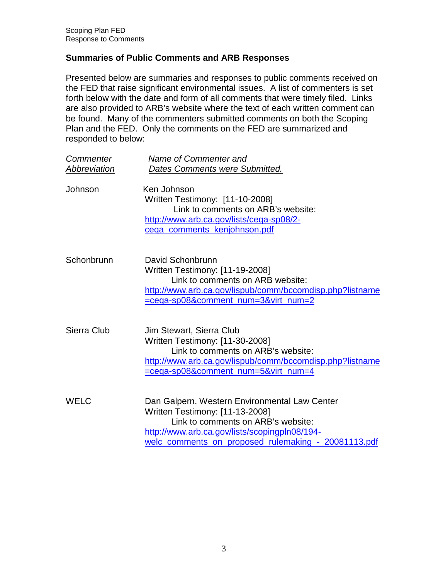# **Summaries of Public Comments and ARB Responses**

 Presented below are summaries and responses to public comments received on the FED that raise significant environmental issues. A list of commenters is set forth below with the date and form of all comments that were timely filed. Links are also provided to ARB's website where the text of each written comment can be found. Many of the commenters submitted comments on both the Scoping Plan and the FED. Only the comments on the FED are summarized and responded to below:

| Commenter    | Name of Commenter and                                                                                                                                                                                                          |
|--------------|--------------------------------------------------------------------------------------------------------------------------------------------------------------------------------------------------------------------------------|
| Abbreviation | Dates Comments were Submitted.                                                                                                                                                                                                 |
| Johnson      | Ken Johnson<br>Written Testimony: [11-10-2008]<br>Link to comments on ARB's website:<br>http://www.arb.ca.gov/lists/cega-sp08/2-<br>cega_comments_kenjohnson.pdf                                                               |
| Schonbrunn   | David Schonbrunn<br>Written Testimony: [11-19-2008]<br>Link to comments on ARB website:<br>http://www.arb.ca.gov/lispub/comm/bccomdisp.php?listname<br>=cega-sp08&comment_num=3&virt_num=2                                     |
| Sierra Club  | Jim Stewart, Sierra Club<br>Written Testimony: [11-30-2008]<br>Link to comments on ARB's website:<br>http://www.arb.ca.gov/lispub/comm/bccomdisp.php?listname<br>=cega-sp08&comment_num=5&virt_num=4                           |
| WELC         | Dan Galpern, Western Environmental Law Center<br>Written Testimony: [11-13-2008]<br>Link to comments on ARB's website:<br>http://www.arb.ca.gov/lists/scopingpln08/194-<br>welc_comments_on_proposed_rulemaking -_20081113.pdf |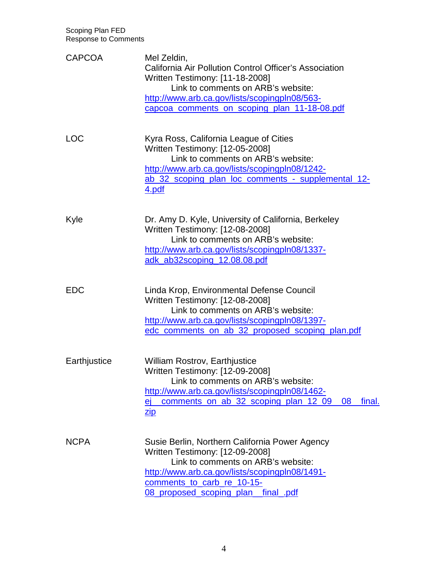| <b>CAPCOA</b> | Mel Zeldin,<br>California Air Pollution Control Officer's Association<br>Written Testimony: [11-18-2008]<br>Link to comments on ARB's website:<br>http://www.arb.ca.gov/lists/scopingpln08/563-<br>capcoa_comments_on_scoping_plan_11-18-08.pdf         |
|---------------|---------------------------------------------------------------------------------------------------------------------------------------------------------------------------------------------------------------------------------------------------------|
| <b>LOC</b>    | Kyra Ross, California League of Cities<br>Written Testimony: [12-05-2008]<br>Link to comments on ARB's website:<br>http://www.arb.ca.gov/lists/scopingpln08/1242-<br>ab 32 scoping plan loc comments - supplemental 12-<br><u>4.pdf</u>                 |
| Kyle          | Dr. Amy D. Kyle, University of California, Berkeley<br>Written Testimony: [12-08-2008]<br>Link to comments on ARB's website:<br>http://www.arb.ca.gov/lists/scopingpln08/1337-<br>adk_ab32scoping_12.08.08.pdf                                          |
| <b>EDC</b>    | Linda Krop, Environmental Defense Council<br>Written Testimony: [12-08-2008]<br>Link to comments on ARB's website:<br>http://www.arb.ca.gov/lists/scopingpln08/1397-<br>edc_comments_on_ab_32_proposed_scoping_plan.pdf                                 |
| Earthjustice  | <b>William Rostrov, Earthjustice</b><br>Written Testimony: [12-09-2008]<br>Link to comments on ARB's website:<br>http://www.arb.ca.gov/lists/scopingpln08/1462-<br>comments on ab 32 scoping plan 12 09<br>08<br>final.<br><u>ei_</u><br>$\mathsf{zip}$ |
| <b>NCPA</b>   | Susie Berlin, Northern California Power Agency<br>Written Testimony: [12-09-2008]<br>Link to comments on ARB's website:<br>http://www.arb.ca.gov/lists/scopingpln08/1491-<br>comments to carb re 10-15-<br>08 proposed scoping plan final pdf           |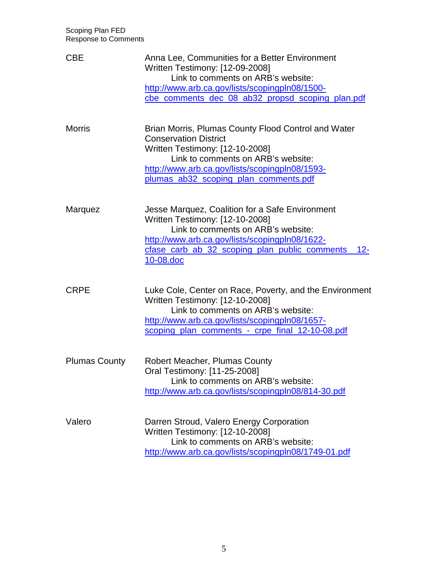| <b>CBE</b>           | Anna Lee, Communities for a Better Environment<br>Written Testimony: [12-09-2008]<br>Link to comments on ARB's website:<br>http://www.arb.ca.gov/lists/scopingpln08/1500-<br>cbe comments dec 08 ab32 propsd scoping plan.pdf                           |
|----------------------|---------------------------------------------------------------------------------------------------------------------------------------------------------------------------------------------------------------------------------------------------------|
| <b>Morris</b>        | Brian Morris, Plumas County Flood Control and Water<br><b>Conservation District</b><br>Written Testimony: [12-10-2008]<br>Link to comments on ARB's website:<br>http://www.arb.ca.gov/lists/scopingpln08/1593-<br>plumas_ab32_scoping_plan_comments.pdf |
| Marquez              | Jesse Marquez, Coalition for a Safe Environment<br>Written Testimony: [12-10-2008]<br>Link to comments on ARB's website:<br>http://www.arb.ca.gov/lists/scopingpln08/1622-<br>cfase_carb_ab_32_scoping_plan_public_comments_<br>$12 -$<br>10-08.doc     |
| <b>CRPE</b>          | Luke Cole, Center on Race, Poverty, and the Environment<br>Written Testimony: [12-10-2008]<br>Link to comments on ARB's website:<br>http://www.arb.ca.gov/lists/scopingpln08/1657-<br>scoping plan_comments - crpe_final_12-10-08.pdf                   |
| <b>Plumas County</b> | <b>Robert Meacher, Plumas County</b><br>Oral Testimony: [11-25-2008]<br>Link to comments on ARB's website:<br>http://www.arb.ca.gov/lists/scopingpln08/814-30.pdf                                                                                       |
| Valero               | Darren Stroud, Valero Energy Corporation<br>Written Testimony: [12-10-2008]<br>Link to comments on ARB's website:<br>http://www.arb.ca.gov/lists/scopingpln08/1749-01.pdf                                                                               |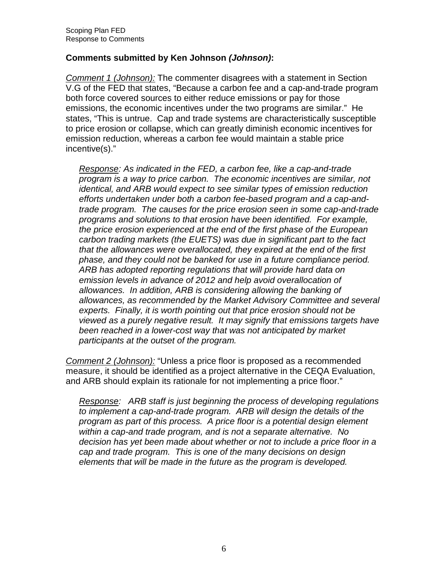# **Comments submitted by Ken Johnson (Johnson):**

Comment 1 (Johnson): The commenter disagrees with a statement in Section V.G of the FED that states, "Because a carbon fee and a cap-and-trade program both force covered sources to either reduce emissions or pay for those emissions, the economic incentives under the two programs are similar." He states, "This is untrue. Cap and trade systems are characteristically susceptible to price erosion or collapse, which can greatly diminish economic incentives for emission reduction, whereas a carbon fee would maintain a stable price incentive(s)."

Response: As indicated in the FED, a carbon fee, like a cap-and-trade program is a way to price carbon. The economic incentives are similar, not identical, and ARB would expect to see similar types of emission reduction efforts undertaken under both a carbon fee-based program and a cap-and- trade program. The causes for the price erosion seen in some cap-and-trade programs and solutions to that erosion have been identified. For example, the price erosion experienced at the end of the first phase of the European carbon trading markets (the EUETS) was due in significant part to the fact that the allowances were overallocated, they expired at the end of the first phase, and they could not be banked for use in a future compliance period. ARB has adopted reporting regulations that will provide hard data on emission levels in advance of 2012 and help avoid overallocation of allowances. In addition, ARB is considering allowing the banking of allowances, as recommended by the Market Advisory Committee and several experts. Finally, it is worth pointing out that price erosion should not be viewed as a purely negative result. It may signify that emissions targets have been reached in a lower-cost way that was not anticipated by market participants at the outset of the program.

Comment 2 (Johnson): "Unless a price floor is proposed as a recommended measure, it should be identified as a project alternative in the CEQA Evaluation, and ARB should explain its rationale for not implementing a price floor."

Response: ARB staff is just beginning the process of developing regulations to implement a cap-and-trade program. ARB will design the details of the program as part of this process. A price floor is a potential design element within a cap-and trade program, and is not a separate alternative. No decision has yet been made about whether or not to include a price floor in a cap and trade program. This is one of the many decisions on design elements that will be made in the future as the program is developed.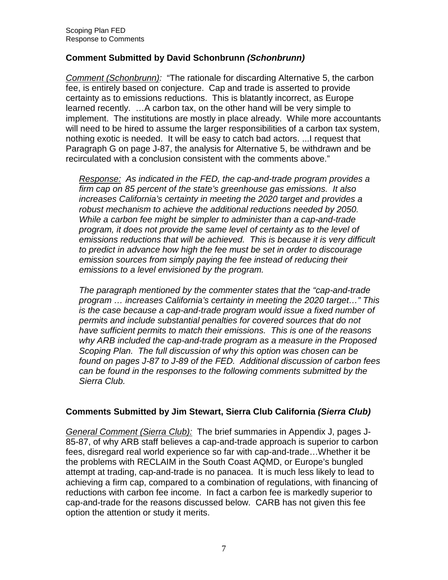# **Comment Submitted by David Schonbrunn (Schonbrunn)**

Comment (Schonbrunn): "The rationale for discarding Alternative 5, the carbon fee, is entirely based on conjecture. Cap and trade is asserted to provide certainty as to emissions reductions. This is blatantly incorrect, as Europe learned recently. …A carbon tax, on the other hand will be very simple to implement. The institutions are mostly in place already. While more accountants will need to be hired to assume the larger responsibilities of a carbon tax system, nothing exotic is needed. It will be easy to catch bad actors. ...I request that Paragraph G on page J-87, the analysis for Alternative 5, be withdrawn and be recirculated with a conclusion consistent with the comments above."

Response: As indicated in the FED, the cap-and-trade program provides a firm cap on 85 percent of the state's greenhouse gas emissions. It also increases California's certainty in meeting the 2020 target and provides a robust mechanism to achieve the additional reductions needed by 2050. While a carbon fee might be simpler to administer than a cap-and-trade program, it does not provide the same level of certainty as to the level of emissions reductions that will be achieved. This is because it is very difficult to predict in advance how high the fee must be set in order to discourage emission sources from simply paying the fee instead of reducing their emissions to a level envisioned by the program.

 The paragraph mentioned by the commenter states that the "cap-and-trade program … increases California's certainty in meeting the 2020 target…" This is the case because a cap-and-trade program would issue a fixed number of permits and include substantial penalties for covered sources that do not have sufficient permits to match their emissions. This is one of the reasons why ARB included the cap-and-trade program as a measure in the Proposed Scoping Plan. The full discussion of why this option was chosen can be found on pages J-87 to J-89 of the FED. Additional discussion of carbon fees can be found in the responses to the following comments submitted by the Sierra Club.

#### **Comments Submitted by Jim Stewart, Sierra Club California (Sierra Club)**

General Comment (Sierra Club): The brief summaries in Appendix J, pages J- 85-87, of why ARB staff believes a cap-and-trade approach is superior to carbon fees, disregard real world experience so far with cap-and-trade…Whether it be the problems with RECLAIM in the South Coast AQMD, or Europe's bungled attempt at trading, cap-and-trade is no panacea. It is much less likely to lead to achieving a firm cap, compared to a combination of regulations, with financing of reductions with carbon fee income. In fact a carbon fee is markedly superior to cap-and-trade for the reasons discussed below. CARB has not given this fee option the attention or study it merits.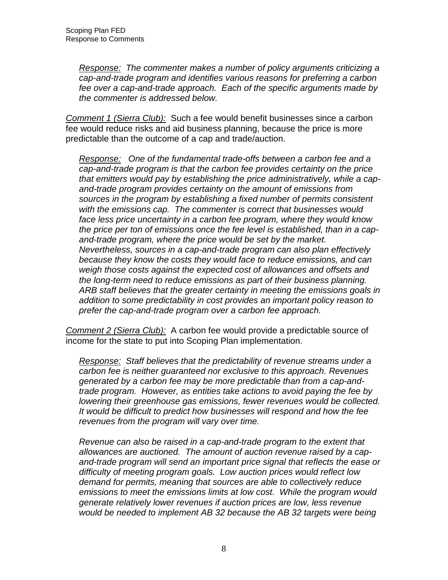Response: The commenter makes a number of policy arguments criticizing a cap-and-trade program and identifies various reasons for preferring a carbon fee over a cap-and-trade approach. Each of the specific arguments made by the commenter is addressed below.

Comment 1 (Sierra Club): Such a fee would benefit businesses since a carbon fee would reduce risks and aid business planning, because the price is more predictable than the outcome of a cap and trade/auction.

Response: One of the fundamental trade-offs between a carbon fee and a cap-and-trade program is that the carbon fee provides certainty on the price that emitters would pay by establishing the price administratively, while a cap- and-trade program provides certainty on the amount of emissions from sources in the program by establishing a fixed number of permits consistent with the emissions cap. The commenter is correct that businesses would face less price uncertainty in a carbon fee program, where they would know the price per ton of emissions once the fee level is established, than in a cap- and-trade program, where the price would be set by the market. Nevertheless, sources in a cap-and-trade program can also plan effectively because they know the costs they would face to reduce emissions, and can weigh those costs against the expected cost of allowances and offsets and the long-term need to reduce emissions as part of their business planning. ARB staff believes that the greater certainty in meeting the emissions goals in addition to some predictability in cost provides an important policy reason to prefer the cap-and-trade program over a carbon fee approach.

Comment 2 (Sierra Club): A carbon fee would provide a predictable source of income for the state to put into Scoping Plan implementation.

Response: Staff believes that the predictability of revenue streams under a carbon fee is neither guaranteed nor exclusive to this approach. Revenues generated by a carbon fee may be more predictable than from a cap-and- trade program. However, as entities take actions to avoid paying the fee by lowering their greenhouse gas emissions, fewer revenues would be collected. It would be difficult to predict how businesses will respond and how the fee revenues from the program will vary over time.

 Revenue can also be raised in a cap-and-trade program to the extent that allowances are auctioned. The amount of auction revenue raised by a cap- and-trade program will send an important price signal that reflects the ease or difficulty of meeting program goals. Low auction prices would reflect low demand for permits, meaning that sources are able to collectively reduce emissions to meet the emissions limits at low cost. While the program would generate relatively lower revenues if auction prices are low, less revenue would be needed to implement AB 32 because the AB 32 targets were being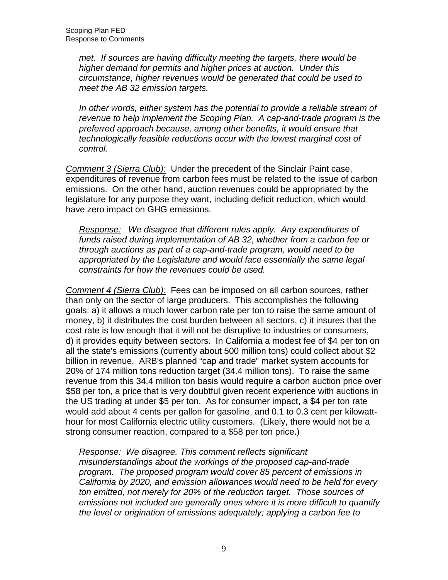met. If sources are having difficulty meeting the targets, there would be higher demand for permits and higher prices at auction. Under this circumstance, higher revenues would be generated that could be used to meet the AB 32 emission targets.

 In other words, either system has the potential to provide a reliable stream of revenue to help implement the Scoping Plan. A cap-and-trade program is the preferred approach because, among other benefits, it would ensure that technologically feasible reductions occur with the lowest marginal cost of control.

control.<br><u>Comment 3 (Sierra Club):</u> Under the precedent of the Sinclair Paint case, expenditures of revenue from carbon fees must be related to the issue of carbon emissions. On the other hand, auction revenues could be appropriated by the legislature for any purpose they want, including deficit reduction, which would have zero impact on GHG emissions.

Response: We disagree that different rules apply. Any expenditures of funds raised during implementation of AB 32, whether from a carbon fee or through auctions as part of a cap-and-trade program, would need to be appropriated by the Legislature and would face essentially the same legal constraints for how the revenues could be used.

Comment 4 (Sierra Club): Fees can be imposed on all carbon sources, rather than only on the sector of large producers. This accomplishes the following goals: a) it allows a much lower carbon rate per ton to raise the same amount of money, b) it distributes the cost burden between all sectors, c) it insures that the cost rate is low enough that it will not be disruptive to industries or consumers, d) it provides equity between sectors. In California a modest fee of \$4 per ton on all the state's emissions (currently about 500 million tons) could collect about \$2 billion in revenue. ARB's planned "cap and trade" market system accounts for 20% of 174 million tons reduction target (34.4 million tons). To raise the same revenue from this 34.4 million ton basis would require a carbon auction price over \$58 per ton, a price that is very doubtful given recent experience with auctions in the US trading at under \$5 per ton. As for consumer impact, a \$4 per ton rate would add about 4 cents per gallon for gasoline, and 0.1 to 0.3 cent per kilowatt- hour for most California electric utility customers. (Likely, there would not be a strong consumer reaction, compared to a \$58 per ton price.)

Response: We disagree. This comment reflects significant misunderstandings about the workings of the proposed cap-and-trade program. The proposed program would cover 85 percent of emissions in California by 2020, and emission allowances would need to be held for every ton emitted, not merely for 20% of the reduction target. Those sources of emissions not included are generally ones where it is more difficult to quantify the level or origination of emissions adequately; applying a carbon fee to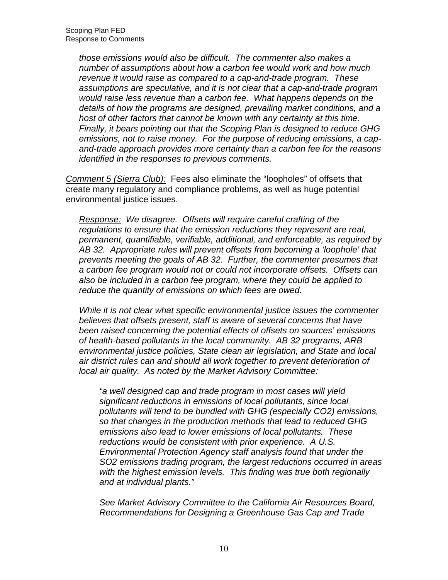those emissions would also be difficult. The commenter also makes a number of assumptions about how a carbon fee would work and how much revenue it would raise as compared to a cap-and-trade program. These assumptions are speculative, and it is not clear that a cap-and-trade program would raise less revenue than a carbon fee. What happens depends on the details of how the programs are designed, prevailing market conditions, and a host of other factors that cannot be known with any certainty at this time. Finally, it bears pointing out that the Scoping Plan is designed to reduce GHG emissions, not to raise money. For the purpose of reducing emissions, a cap- and-trade approach provides more certainty than a carbon fee for the reasons identified in the responses to previous comments.

Comment 5 (Sierra Club): Fees also eliminate the "loopholes" of offsets that create many regulatory and compliance problems, as well as huge potential environmental justice issues.

Response: We disagree. Offsets will require careful crafting of the regulations to ensure that the emission reductions they represent are real, permanent, quantifiable, verifiable, additional, and enforceable, as required by AB 32. Appropriate rules will prevent offsets from becoming a 'loophole' that prevents meeting the goals of AB 32. Further, the commenter presumes that a carbon fee program would not or could not incorporate offsets. Offsets can also be included in a carbon fee program, where they could be applied to reduce the quantity of emissions on which fees are owed.

 While it is not clear what specific environmental justice issues the commenter believes that offsets present, staff is aware of several concerns that have been raised concerning the potential effects of offsets on sources' emissions of health-based pollutants in the local community. AB 32 programs, ARB environmental justice policies, State clean air legislation, and State and local air district rules can and should all work together to prevent deterioration of local air quality. As noted by the Market Advisory Committee:

 "a well designed cap and trade program in most cases will yield significant reductions in emissions of local pollutants, since local pollutants will tend to be bundled with GHG (especially CO2) emissions, so that changes in the production methods that lead to reduced GHG emissions also lead to lower emissions of local pollutants. These reductions would be consistent with prior experience. A U.S. Environmental Protection Agency staff analysis found that under the SO2 emissions trading program, the largest reductions occurred in areas with the highest emission levels. This finding was true both regionally and at individual plants."

 See Market Advisory Committee to the California Air Resources Board, Recommendations for Designing a Greenhouse Gas Cap and Trade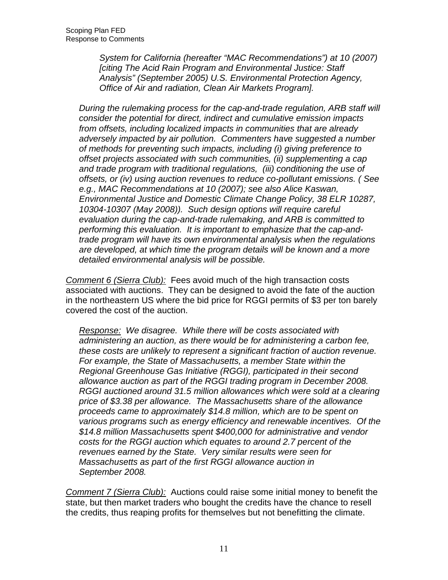System for California (hereafter "MAC Recommendations") at 10 (2007) [citing The Acid Rain Program and Environmental Justice: Staff Analysis" (September 2005) U.S. Environmental Protection Agency, Office of Air and radiation, Clean Air Markets Program].

 During the rulemaking process for the cap-and-trade regulation, ARB staff will consider the potential for direct, indirect and cumulative emission impacts from offsets, including localized impacts in communities that are already adversely impacted by air pollution. Commenters have suggested a number of methods for preventing such impacts, including (i) giving preference to offset projects associated with such communities, (ii) supplementing a cap and trade program with traditional regulations, (iii) conditioning the use of offsets, or (iv) using auction revenues to reduce co-pollutant emissions. ( See e.g., MAC Recommendations at 10 (2007); see also Alice Kaswan, Environmental Justice and Domestic Climate Change Policy, 38 ELR 10287, 10304-10307 (May 2008)). Such design options will require careful evaluation during the cap-and-trade rulemaking, and ARB is committed to performing this evaluation. It is important to emphasize that the cap-and- trade program will have its own environmental analysis when the regulations are developed, at which time the program details will be known and a more detailed environmental analysis will be possible.

Comment 6 (Sierra Club): Fees avoid much of the high transaction costs associated with auctions. They can be designed to avoid the fate of the auction in the northeastern US where the bid price for RGGI permits of \$3 per ton barely covered the cost of the auction.

Response: We disagree. While there will be costs associated with administering an auction, as there would be for administering a carbon fee, these costs are unlikely to represent a significant fraction of auction revenue. For example, the State of Massachusetts, a member State within the Regional Greenhouse Gas Initiative (RGGI), participated in their second allowance auction as part of the RGGI trading program in December 2008. RGGI auctioned around 31.5 million allowances which were sold at a clearing price of \$3.38 per allowance. The Massachusetts share of the allowance proceeds came to approximately \$14.8 million, which are to be spent on various programs such as energy efficiency and renewable incentives. Of the \$14.8 million Massachusetts spent \$400,000 for administrative and vendor costs for the RGGI auction which equates to around 2.7 percent of the revenues earned by the State. Very similar results were seen for Massachusetts as part of the first RGGI allowance auction in September 2008.

Comment 7 (Sierra Club): Auctions could raise some initial money to benefit the state, but then market traders who bought the credits have the chance to resell the credits, thus reaping profits for themselves but not benefitting the climate.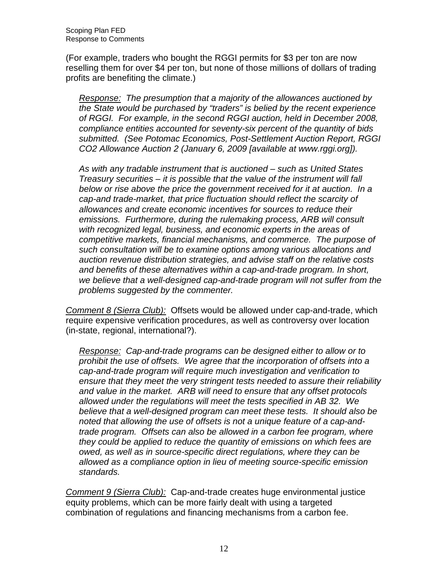(For example, traders who bought the RGGI permits for \$3 per ton are now reselling them for over \$4 per ton, but none of those millions of dollars of trading profits are benefiting the climate.)

Response: The presumption that a majority of the allowances auctioned by the State would be purchased by "traders" is belied by the recent experience of RGGI. For example, in the second RGGI auction, held in December 2008, compliance entities accounted for seventy-six percent of the quantity of bids submitted. (See Potomac Economics, Post-Settlement Auction Report, RGGI CO2 Allowance Auction 2 (January 6, 2009 [available at<www.rggi.org>]).

 As with any tradable instrument that is auctioned – such as United States Treasury securities – it is possible that the value of the instrument will fall below or rise above the price the government received for it at auction. In a cap-and trade-market, that price fluctuation should reflect the scarcity of allowances and create economic incentives for sources to reduce their emissions. Furthermore, during the rulemaking process, ARB will consult with recognized legal, business, and economic experts in the areas of competitive markets, financial mechanisms, and commerce. The purpose of such consultation will be to examine options among various allocations and auction revenue distribution strategies, and advise staff on the relative costs and benefits of these alternatives within a cap-and-trade program. In short, we believe that a well-designed cap-and-trade program will not suffer from the problems suggested by the commenter.

Comment 8 (Sierra Club): Offsets would be allowed under cap-and-trade, which require expensive verification procedures, as well as controversy over location (in-state, regional, international?).

Response: Cap-and-trade programs can be designed either to allow or to prohibit the use of offsets. We agree that the incorporation of offsets into a cap-and-trade program will require much investigation and verification to ensure that they meet the very stringent tests needed to assure their reliability and value in the market. ARB will need to ensure that any offset protocols allowed under the regulations will meet the tests specified in AB 32. We believe that a well-designed program can meet these tests. It should also be noted that allowing the use of offsets is not a unique feature of a cap-and- trade program. Offsets can also be allowed in a carbon fee program, where they could be applied to reduce the quantity of emissions on which fees are owed, as well as in source-specific direct regulations, where they can be allowed as a compliance option in lieu of meeting source-specific emission standards.

s*tandards.*<br>Comment 9 (Sierra Club): Cap-and-trade creates huge environmental justice equity problems, which can be more fairly dealt with using a targeted combination of regulations and financing mechanisms from a carbon fee.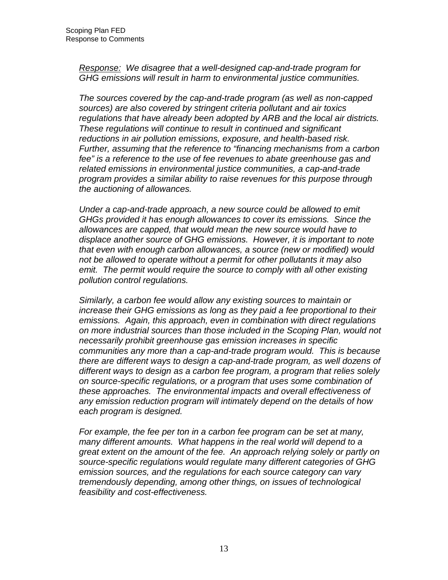Response: We disagree that a well-designed cap-and-trade program for GHG emissions will result in harm to environmental justice communities.

 The sources covered by the cap-and-trade program (as well as non-capped sources) are also covered by stringent criteria pollutant and air toxics regulations that have already been adopted by ARB and the local air districts. These regulations will continue to result in continued and significant reductions in air pollution emissions, exposure, and health-based risk. Further, assuming that the reference to "financing mechanisms from a carbon fee" is a reference to the use of fee revenues to abate greenhouse gas and related emissions in environmental justice communities, a cap-and-trade program provides a similar ability to raise revenues for this purpose through the auctioning of allowances.

 Under a cap-and-trade approach, a new source could be allowed to emit GHGs provided it has enough allowances to cover its emissions. Since the allowances are capped, that would mean the new source would have to displace another source of GHG emissions. However, it is important to note that even with enough carbon allowances, a source (new or modified) would not be allowed to operate without a permit for other pollutants it may also emit. The permit would require the source to comply with all other existing pollution control regulations.

 Similarly, a carbon fee would allow any existing sources to maintain or increase their GHG emissions as long as they paid a fee proportional to their emissions. Again, this approach, even in combination with direct regulations on more industrial sources than those included in the Scoping Plan, would not communities any more than a cap-and-trade program would. This is because there are different ways to design a cap-and-trade program, as well dozens of different ways to design as a carbon fee program, a program that relies solely on source-specific regulations, or a program that uses some combination of these approaches. The environmental impacts and overall effectiveness of any emission reduction program will intimately depend on the details of how each program is designed. necessarily prohibit greenhouse gas emission increases in specific

 For example, the fee per ton in a carbon fee program can be set at many, many different amounts. What happens in the real world will depend to a great extent on the amount of the fee. An approach relying solely or partly on source-specific regulations would regulate many different categories of GHG emission sources, and the regulations for each source category can vary tremendously depending, among other things, on issues of technological feasibility and cost-effectiveness.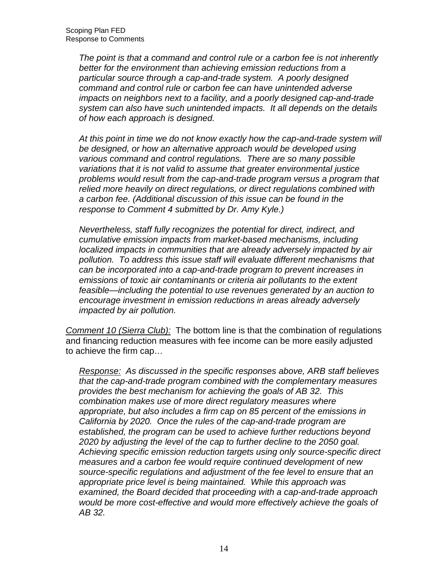The point is that a command and control rule or a carbon fee is not inherently better for the environment than achieving emission reductions from a particular source through a cap-and-trade system. A poorly designed command and control rule or carbon fee can have unintended adverse impacts on neighbors next to a facility, and a poorly designed cap-and-trade system can also have such unintended impacts. It all depends on the details of how each approach is designed.

 At this point in time we do not know exactly how the cap-and-trade system will be designed, or how an alternative approach would be developed using various command and control regulations. There are so many possible variations that it is not valid to assume that greater environmental justice problems would result from the cap-and-trade program versus a program that relied more heavily on direct regulations, or direct regulations combined with a carbon fee. (Additional discussion of this issue can be found in the response to Comment 4 submitted by Dr. Amy Kyle.)

 Nevertheless, staff fully recognizes the potential for direct, indirect, and cumulative emission impacts from market-based mechanisms, including localized impacts in communities that are already adversely impacted by air pollution. To address this issue staff will evaluate different mechanisms that can be incorporated into a cap-and-trade program to prevent increases in emissions of toxic air contaminants or criteria air pollutants to the extent feasible—including the potential to use revenues generated by an auction to encourage investment in emission reductions in areas already adversely impacted by air pollution.

Comment 10 (Sierra Club): The bottom line is that the combination of regulations and financing reduction measures with fee income can be more easily adjusted to achieve the firm cap…

Response: As discussed in the specific responses above, ARB staff believes that the cap-and-trade program combined with the complementary measures provides the best mechanism for achieving the goals of AB 32. This combination makes use of more direct regulatory measures where appropriate, but also includes a firm cap on 85 percent of the emissions in California by 2020. Once the rules of the cap-and-trade program are established, the program can be used to achieve further reductions beyond 2020 by adjusting the level of the cap to further decline to the 2050 goal. Achieving specific emission reduction targets using only source-specific direct measures and a carbon fee would require continued development of new source-specific regulations and adjustment of the fee level to ensure that an appropriate price level is being maintained. While this approach was examined, the Board decided that proceeding with a cap-and-trade approach would be more cost-effective and would more effectively achieve the goals of AB 32.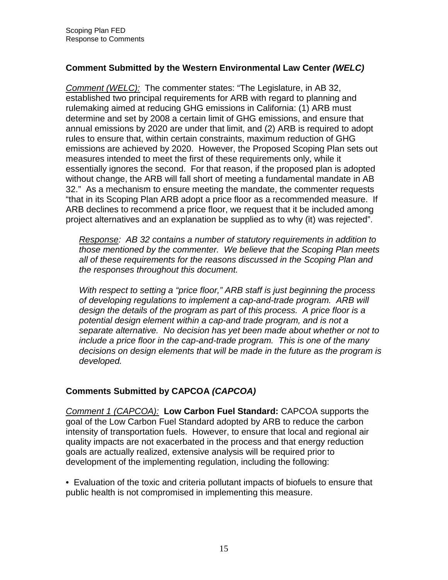# **Comment Submitted by the Western Environmental Law Center (WELC)**

Comment (WELC): The commenter states: "The Legislature, in AB 32, established two principal requirements for ARB with regard to planning and rulemaking aimed at reducing GHG emissions in California: (1) ARB must determine and set by 2008 a certain limit of GHG emissions, and ensure that annual emissions by 2020 are under that limit, and (2) ARB is required to adopt rules to ensure that, within certain constraints, maximum reduction of GHG emissions are achieved by 2020. However, the Proposed Scoping Plan sets out measures intended to meet the first of these requirements only, while it essentially ignores the second. For that reason, if the proposed plan is adopted without change, the ARB will fall short of meeting a fundamental mandate in AB 32." As a mechanism to ensure meeting the mandate, the commenter requests "that in its Scoping Plan ARB adopt a price floor as a recommended measure. If ARB declines to recommend a price floor, we request that it be included among project alternatives and an explanation be supplied as to why (it) was rejected".

Response: AB 32 contains a number of statutory requirements in addition to those mentioned by the commenter. We believe that the Scoping Plan meets all of these requirements for the reasons discussed in the Scoping Plan and the responses throughout this document.

With respect to setting a "price floor," ARB staff is just beginning the process of developing regulations to implement a cap-and-trade program. ARB will design the details of the program as part of this process. A price floor is a potential design element within a cap-and trade program, and is not a separate alternative. No decision has yet been made about whether or not to include a price floor in the cap-and-trade program. This is one of the many decisions on design elements that will be made in the future as the program is developed.

# **Comments Submitted by CAPCOA (CAPCOA)**

 Comment 1 (CAPCOA): **Low Carbon Fuel Standard:** CAPCOA supports the goal of the Low Carbon Fuel Standard adopted by ARB to reduce the carbon intensity of transportation fuels. However, to ensure that local and regional air quality impacts are not exacerbated in the process and that energy reduction goals are actually realized, extensive analysis will be required prior to development of the implementing regulation, including the following:

 • Evaluation of the toxic and criteria pollutant impacts of biofuels to ensure that public health is not compromised in implementing this measure.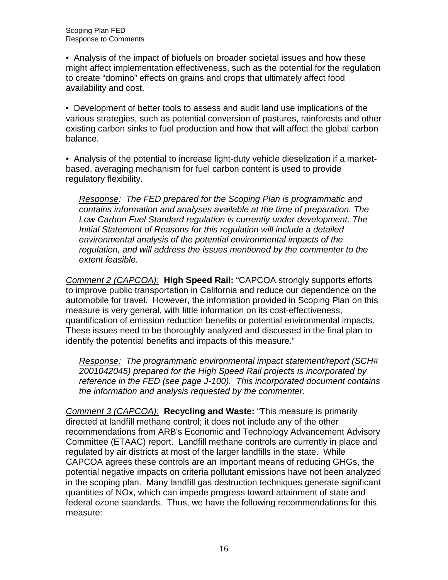• Analysis of the impact of biofuels on broader societal issues and how these might affect implementation effectiveness, such as the potential for the regulation to create "domino" effects on grains and crops that ultimately affect food availability and cost.

 • Development of better tools to assess and audit land use implications of the various strategies, such as potential conversion of pastures, rainforests and other existing carbon sinks to fuel production and how that will affect the global carbon balance.

balance.<br>• Analysis of the potential to increase light-duty vehicle dieselization if a market- based, averaging mechanism for fuel carbon content is used to provide regulatory flexibility.

Response: The FED prepared for the Scoping Plan is programmatic and contains information and analyses available at the time of preparation. The Low Carbon Fuel Standard regulation is currently under development. The Initial Statement of Reasons for this regulation will include a detailed environmental analysis of the potential environmental impacts of the regulation, and will address the issues mentioned by the commenter to the extent feasible.

 Comment 2 (CAPCOA): **High Speed Rail:** "CAPCOA strongly supports efforts to improve public transportation in California and reduce our dependence on the automobile for travel. However, the information provided in Scoping Plan on this measure is very general, with little information on its cost-effectiveness, quantification of emission reduction benefits or potential environmental impacts. These issues need to be thoroughly analyzed and discussed in the final plan to identify the potential benefits and impacts of this measure."

Response: The programmatic environmental impact statement/report (SCH# 2001042045) prepared for the High Speed Rail projects is incorporated by reference in the FED (see page J-100). This incorporated document contains the information and analysis requested by the commenter.

 Comment 3 (CAPCOA): **Recycling and Waste:** "This measure is primarily directed at landfill methane control; it does not include any of the other recommendations from ARB's Economic and Technology Advancement Advisory Committee (ETAAC) report. Landfill methane controls are currently in place and regulated by air districts at most of the larger landfills in the state. While CAPCOA agrees these controls are an important means of reducing GHGs, the potential negative impacts on criteria pollutant emissions have not been analyzed in the scoping plan. Many landfill gas destruction techniques generate significant quantities of NOx, which can impede progress toward attainment of state and federal ozone standards. Thus, we have the following recommendations for this measure: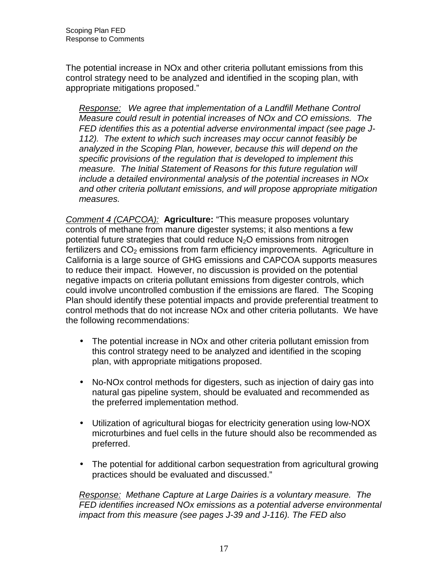The potential increase in NOx and other criteria pollutant emissions from this control strategy need to be analyzed and identified in the scoping plan, with appropriate mitigations proposed."

Response: We agree that implementation of a Landfill Methane Control Measure could result in potential increases of NOx and CO emissions. The FED identifies this as a potential adverse environmental impact (see page J- 112). The extent to which such increases may occur cannot feasibly be analyzed in the Scoping Plan, however, because this will depend on the specific provisions of the regulation that is developed to implement this measure. The Initial Statement of Reasons for this future regulation will include a detailed environmental analysis of the potential increases in NOx and other criteria pollutant emissions, and will propose appropriate mitigation measures.

 measures. Comment 4 (CAPCOA): **Agriculture:** "This measure proposes voluntary controls of methane from manure digester systems; it also mentions a few potential future strategies that could reduce  $N_2O$  emissions from nitrogen fertilizers and  $CO<sub>2</sub>$  emissions from farm efficiency improvements. Agriculture in California is a large source of GHG emissions and CAPCOA supports measures to reduce their impact. However, no discussion is provided on the potential negative impacts on criteria pollutant emissions from digester controls, which could involve uncontrolled combustion if the emissions are flared. The Scoping Plan should identify these potential impacts and provide preferential treatment to control methods that do not increase NOx and other criteria pollutants. We have the following recommendations:

- • The potential increase in NOx and other criteria pollutant emission from this control strategy need to be analyzed and identified in the scoping plan, with appropriate mitigations proposed.
- • No-NOx control methods for digesters, such as injection of dairy gas into natural gas pipeline system, should be evaluated and recommended as the preferred implementation method.
- • Utilization of agricultural biogas for electricity generation using low-NOX microturbines and fuel cells in the future should also be recommended as preferred.
- • The potential for additional carbon sequestration from agricultural growing practices should be evaluated and discussed."

Response: Methane Capture at Large Dairies is a voluntary measure. The FED identifies increased NOx emissions as a potential adverse environmental impact from this measure (see pages J-39 and J-116). The FED also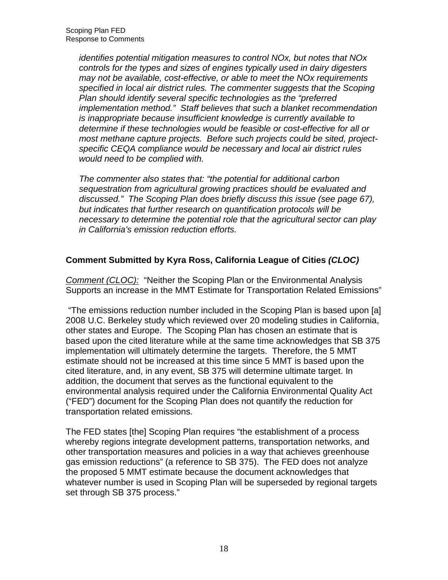identifies potential mitigation measures to control NOx, but notes that NOx controls for the types and sizes of engines typically used in dairy digesters may not be available, cost-effective, or able to meet the NOx requirements specified in local air district rules. The commenter suggests that the Scoping Plan should identify several specific technologies as the "preferred implementation method." Staff believes that such a blanket recommendation is inappropriate because insufficient knowledge is currently available to determine if these technologies would be feasible or cost-effective for all or most methane capture projects. Before such projects could be sited, project- specific CEQA compliance would be necessary and local air district rules would need to be complied with.

 The commenter also states that: "the potential for additional carbon sequestration from agricultural growing practices should be evaluated and discussed." The Scoping Plan does briefly discuss this issue (see page 67), but indicates that further research on quantification protocols will be necessary to determine the potential role that the agricultural sector can play in California's emission reduction efforts.

# **Comment Submitted by Kyra Ross, California League of Cities (CLOC)**

Comment (CLOC): "Neither the Scoping Plan or the Environmental Analysis Supports an increase in the MMT Estimate for Transportation Related Emissions"

 "The emissions reduction number included in the Scoping Plan is based upon [a] 2008 U.C. Berkeley study which reviewed over 20 modeling studies in California, other states and Europe. The Scoping Plan has chosen an estimate that is based upon the cited literature while at the same time acknowledges that SB 375 implementation will ultimately determine the targets. Therefore, the 5 MMT estimate should not be increased at this time since 5 MMT is based upon the cited literature, and, in any event, SB 375 will determine ultimate target. In addition, the document that serves as the functional equivalent to the environmental analysis required under the California Environmental Quality Act ("FED") document for the Scoping Plan does not quantify the reduction for transportation related emissions.

 The FED states [the] Scoping Plan requires "the establishment of a process whereby regions integrate development patterns, transportation networks, and other transportation measures and policies in a way that achieves greenhouse gas emission reductions" (a reference to SB 375). The FED does not analyze the proposed 5 MMT estimate because the document acknowledges that whatever number is used in Scoping Plan will be superseded by regional targets set through SB 375 process."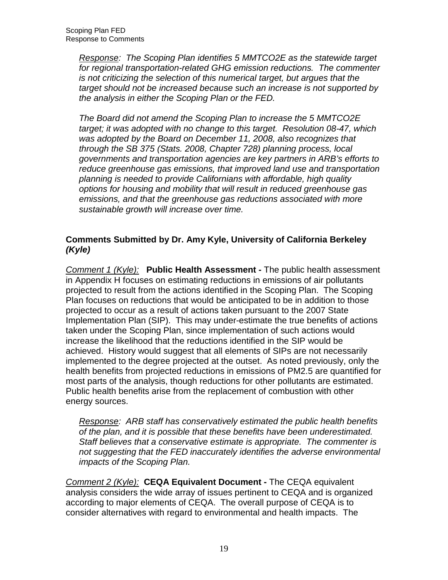Response: The Scoping Plan identifies 5 MMTCO2E as the statewide target for regional transportation-related GHG emission reductions. The commenter is not criticizing the selection of this numerical target, but argues that the target should not be increased because such an increase is not supported by the analysis in either the Scoping Plan or the FED.

 The Board did not amend the Scoping Plan to increase the 5 MMTCO2E target; it was adopted with no change to this target. Resolution 08-47, which was adopted by the Board on December 11, 2008, also recognizes that through the SB 375 (Stats. 2008, Chapter 728) planning process, local reduce greenhouse gas emissions, that improved land use and transportation planning is needed to provide Californians with affordable, high quality options for housing and mobility that will result in reduced greenhouse gas emissions, and that the greenhouse gas reductions associated with more sustainable growth will increase over time. governments and transportation agencies are key partners in ARB's efforts to

# **Comments Submitted by Dr. Amy Kyle, University of California Berkeley (Kyle)**

 Comment 1 (Kyle): **Public Health Assessment -** The public health assessment in Appendix H focuses on estimating reductions in emissions of air pollutants projected to result from the actions identified in the Scoping Plan. The Scoping Plan focuses on reductions that would be anticipated to be in addition to those projected to occur as a result of actions taken pursuant to the 2007 State Implementation Plan (SIP). This may under-estimate the true benefits of actions taken under the Scoping Plan, since implementation of such actions would increase the likelihood that the reductions identified in the SIP would be achieved. History would suggest that all elements of SIPs are not necessarily implemented to the degree projected at the outset. As noted previously, only the health benefits from projected reductions in emissions of PM2.5 are quantified for most parts of the analysis, though reductions for other pollutants are estimated. Public health benefits arise from the replacement of combustion with other energy sources.

Response: ARB staff has conservatively estimated the public health benefits of the plan, and it is possible that these benefits have been underestimated. Staff believes that a conservative estimate is appropriate. The commenter is not suggesting that the FED inaccurately identifies the adverse environmental impacts of the Scoping Plan.

 Comment 2 (Kyle): **CEQA Equivalent Document -** The CEQA equivalent analysis considers the wide array of issues pertinent to CEQA and is organized according to major elements of CEQA. The overall purpose of CEQA is to consider alternatives with regard to environmental and health impacts. The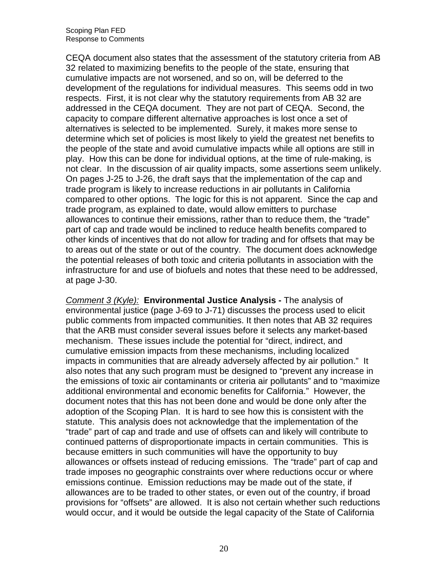CEQA document also states that the assessment of the statutory criteria from AB 32 related to maximizing benefits to the people of the state, ensuring that cumulative impacts are not worsened, and so on, will be deferred to the development of the regulations for individual measures. This seems odd in two respects. First, it is not clear why the statutory requirements from AB 32 are addressed in the CEQA document. They are not part of CEQA. Second, the capacity to compare different alternative approaches is lost once a set of alternatives is selected to be implemented. Surely, it makes more sense to determine which set of policies is most likely to yield the greatest net benefits to the people of the state and avoid cumulative impacts while all options are still in play. How this can be done for individual options, at the time of rule-making, is not clear. In the discussion of air quality impacts, some assertions seem unlikely. On pages J-25 to J-26, the draft says that the implementation of the cap and trade program is likely to increase reductions in air pollutants in California compared to other options. The logic for this is not apparent. Since the cap and trade program, as explained to date, would allow emitters to purchase allowances to continue their emissions, rather than to reduce them, the "trade" part of cap and trade would be inclined to reduce health benefits compared to other kinds of incentives that do not allow for trading and for offsets that may be to areas out of the state or out of the country. The document does acknowledge the potential releases of both toxic and criteria pollutants in association with the infrastructure for and use of biofuels and notes that these need to be addressed, at page J-30.

 Comment 3 (Kyle): **Environmental Justice Analysis -** The analysis of environmental justice (page J-69 to J-71) discusses the process used to elicit public comments from impacted communities. It then notes that AB 32 requires that the ARB must consider several issues before it selects any market-based mechanism. These issues include the potential for "direct, indirect, and cumulative emission impacts from these mechanisms, including localized impacts in communities that are already adversely affected by air pollution." It also notes that any such program must be designed to "prevent any increase in the emissions of toxic air contaminants or criteria air pollutants" and to "maximize additional environmental and economic benefits for California." However, the document notes that this has not been done and would be done only after the adoption of the Scoping Plan. It is hard to see how this is consistent with the statute. This analysis does not acknowledge that the implementation of the "trade" part of cap and trade and use of offsets can and likely will contribute to continued patterns of disproportionate impacts in certain communities. This is because emitters in such communities will have the opportunity to buy allowances or offsets instead of reducing emissions. The "trade" part of cap and trade imposes no geographic constraints over where reductions occur or where emissions continue. Emission reductions may be made out of the state, if allowances are to be traded to other states, or even out of the country, if broad provisions for "offsets" are allowed. It is also not certain whether such reductions would occur, and it would be outside the legal capacity of the State of California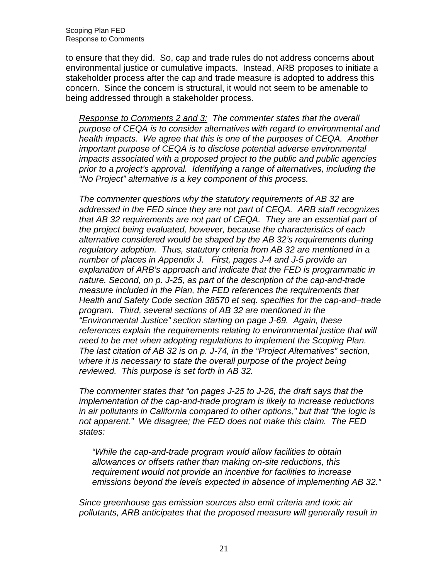to ensure that they did. So, cap and trade rules do not address concerns about environmental justice or cumulative impacts. Instead, ARB proposes to initiate a stakeholder process after the cap and trade measure is adopted to address this concern. Since the concern is structural, it would not seem to be amenable to being addressed through a stakeholder process.

Response to Comments 2 and 3: The commenter states that the overall purpose of CEQA is to consider alternatives with regard to environmental and health impacts. We agree that this is one of the purposes of CEQA. Another important purpose of CEQA is to disclose potential adverse environmental impacts associated with a proposed project to the public and public agencies prior to a project's approval. Identifying a range of alternatives, including the "No Project" alternative is a key component of this process.

 The commenter questions why the statutory requirements of AB 32 are addressed in the FED since they are not part of CEQA. ARB staff recognizes that AB 32 requirements are not part of CEQA. They are an essential part of the project being evaluated, however, because the characteristics of each alternative considered would be shaped by the AB 32's requirements during regulatory adoption. Thus, statutory criteria from AB 32 are mentioned in a number of places in Appendix J. First, pages J-4 and J-5 provide an explanation of ARB's approach and indicate that the FED is programmatic in nature. Second, on p. J-25, as part of the description of the cap-and-trade measure included in the Plan, the FED references the requirements that Health and Safety Code section 38570 et seq. specifies for the cap-and–trade program. Third, several sections of AB 32 are mentioned in the "Environmental Justice" section starting on page J-69. Again, these references explain the requirements relating to environmental justice that will need to be met when adopting regulations to implement the Scoping Plan. The last citation of AB 32 is on p. J-74, in the "Project Alternatives" section, where it is necessary to state the overall purpose of the project being reviewed. This purpose is set forth in AB 32.

 The commenter states that "on pages J-25 to J-26, the draft says that the implementation of the cap-and-trade program is likely to increase reductions in air pollutants in California compared to other options," but that "the logic is not apparent." We disagree; the FED does not make this claim. The FED states:

 "While the cap-and-trade program would allow facilities to obtain allowances or offsets rather than making on-site reductions, this requirement would not provide an incentive for facilities to increase emissions beyond the levels expected in absence of implementing AB 32."

 Since greenhouse gas emission sources also emit criteria and toxic air pollutants, ARB anticipates that the proposed measure will generally result in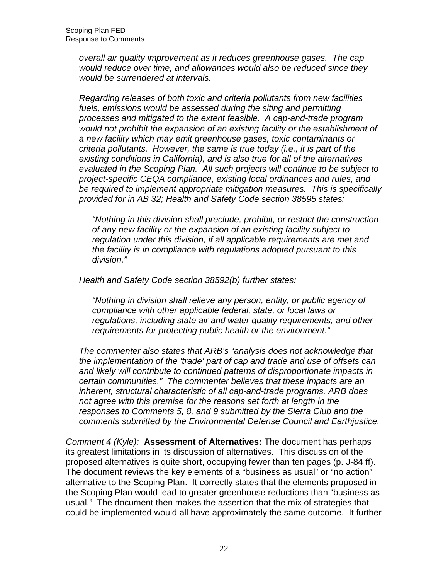overall air quality improvement as it reduces greenhouse gases. The cap would reduce over time, and allowances would also be reduced since they would be surrendered at intervals.

 Regarding releases of both toxic and criteria pollutants from new facilities fuels, emissions would be assessed during the siting and permitting processes and mitigated to the extent feasible. A cap-and-trade program would not prohibit the expansion of an existing facility or the establishment of a new facility which may emit greenhouse gases, toxic contaminants or criteria pollutants. However, the same is true today (i.e., it is part of the existing conditions in California), and is also true for all of the alternatives evaluated in the Scoping Plan. All such projects will continue to be subject to project-specific CEQA compliance, existing local ordinances and rules, and be required to implement appropriate mitigation measures. This is specifically provided for in AB 32; Health and Safety Code section 38595 states:

 "Nothing in this division shall preclude, prohibit, or restrict the construction of any new facility or the expansion of an existing facility subject to regulation under this division, if all applicable requirements are met and the facility is in compliance with regulations adopted pursuant to this division."

division." Health and Safety Code section 38592(b) further states:

 "Nothing in division shall relieve any person, entity, or public agency of compliance with other applicable federal, state, or local laws or regulations, including state air and water quality requirements, and other requirements for protecting public health or the environment."

 The commenter also states that ARB's "analysis does not acknowledge that the implementation of the 'trade' part of cap and trade and use of offsets can and likely will contribute to continued patterns of disproportionate impacts in certain communities." The commenter believes that these impacts are an inherent, structural characteristic of all cap-and-trade programs. ARB does not agree with this premise for the reasons set forth at length in the responses to Comments 5, 8, and 9 submitted by the Sierra Club and the comments submitted by the Environmental Defense Council and Earthjustice.

 Comment 4 (Kyle): **Assessment of Alternatives:** The document has perhaps its greatest limitations in its discussion of alternatives. This discussion of the proposed alternatives is quite short, occupying fewer than ten pages (p. J-84 ff). The document reviews the key elements of a "business as usual" or "no action" alternative to the Scoping Plan. It correctly states that the elements proposed in the Scoping Plan would lead to greater greenhouse reductions than "business as usual." The document then makes the assertion that the mix of strategies that could be implemented would all have approximately the same outcome. It further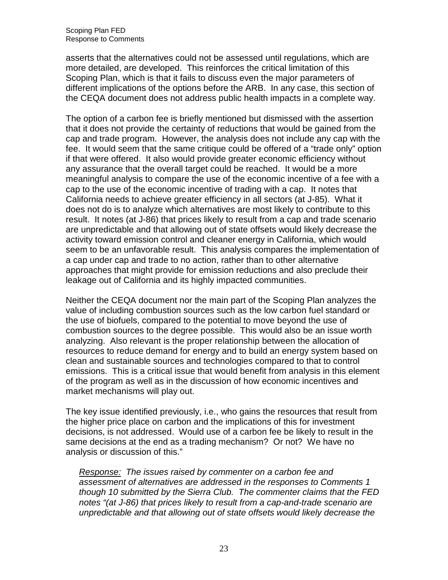asserts that the alternatives could not be assessed until regulations, which are more detailed, are developed. This reinforces the critical limitation of this Scoping Plan, which is that it fails to discuss even the major parameters of different implications of the options before the ARB. In any case, this section of the CEQA document does not address public health impacts in a complete way.

 The option of a carbon fee is briefly mentioned but dismissed with the assertion that it does not provide the certainty of reductions that would be gained from the cap and trade program. However, the analysis does not include any cap with the fee. It would seem that the same critique could be offered of a "trade only" option if that were offered. It also would provide greater economic efficiency without any assurance that the overall target could be reached. It would be a more meaningful analysis to compare the use of the economic incentive of a fee with a cap to the use of the economic incentive of trading with a cap. It notes that California needs to achieve greater efficiency in all sectors (at J-85). What it does not do is to analyze which alternatives are most likely to contribute to this result. It notes (at J-86) that prices likely to result from a cap and trade scenario are unpredictable and that allowing out of state offsets would likely decrease the activity toward emission control and cleaner energy in California, which would seem to be an unfavorable result. This analysis compares the implementation of a cap under cap and trade to no action, rather than to other alternative approaches that might provide for emission reductions and also preclude their leakage out of California and its highly impacted communities.

 Neither the CEQA document nor the main part of the Scoping Plan analyzes the value of including combustion sources such as the low carbon fuel standard or the use of biofuels, compared to the potential to move beyond the use of combustion sources to the degree possible. This would also be an issue worth analyzing. Also relevant is the proper relationship between the allocation of resources to reduce demand for energy and to build an energy system based on clean and sustainable sources and technologies compared to that to control emissions. This is a critical issue that would benefit from analysis in this element of the program as well as in the discussion of how economic incentives and market mechanisms will play out.

 The key issue identified previously, i.e., who gains the resources that result from the higher price place on carbon and the implications of this for investment decisions, is not addressed. Would use of a carbon fee be likely to result in the same decisions at the end as a trading mechanism? Or not? We have no analysis or discussion of this."

Response: The issues raised by commenter on a carbon fee and assessment of alternatives are addressed in the responses to Comments 1 though 10 submitted by the Sierra Club. The commenter claims that the FED notes "(at J-86) that prices likely to result from a cap-and-trade scenario are unpredictable and that allowing out of state offsets would likely decrease the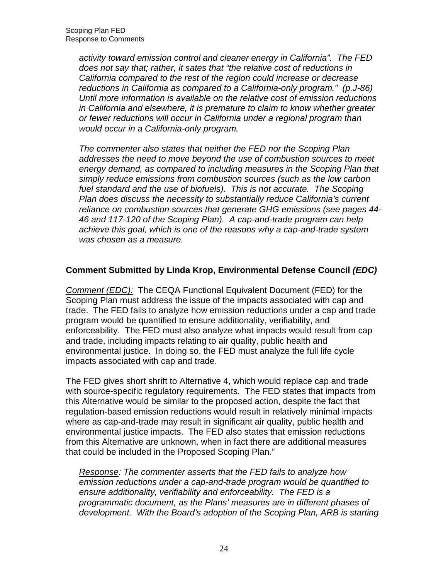activity toward emission control and cleaner energy in California". The FED does not say that; rather, it sates that "the relative cost of reductions in California compared to the rest of the region could increase or decrease reductions in California as compared to a California-only program." (p.J-86) Until more information is available on the relative cost of emission reductions in California and elsewhere, it is premature to claim to know whether greater or fewer reductions will occur in California under a regional program than would occur in a California-only program.

 The commenter also states that neither the FED nor the Scoping Plan addresses the need to move beyond the use of combustion sources to meet energy demand, as compared to including measures in the Scoping Plan that simply reduce emissions from combustion sources (such as the low carbon fuel standard and the use of biofuels). This is not accurate. The Scoping reliance on combustion sources that generate GHG emissions (see pages 44- 46 and 117-120 of the Scoping Plan). A cap-and-trade program can help achieve this goal, which is one of the reasons why a cap-and-trade system was chosen as a measure. Plan does discuss the necessity to substantially reduce California's current

# **Comment Submitted by Linda Krop, Environmental Defense Council (EDC)**

Comment (EDC): The CEQA Functional Equivalent Document (FED) for the Scoping Plan must address the issue of the impacts associated with cap and trade. The FED fails to analyze how emission reductions under a cap and trade program would be quantified to ensure additionality, verifiability, and enforceability. The FED must also analyze what impacts would result from cap and trade, including impacts relating to air quality, public health and environmental justice. In doing so, the FED must analyze the full life cycle impacts associated with cap and trade.

 The FED gives short shrift to Alternative 4, which would replace cap and trade with source-specific regulatory requirements. The FED states that impacts from this Alternative would be similar to the proposed action, despite the fact that regulation-based emission reductions would result in relatively minimal impacts where as cap-and-trade may result in significant air quality, public health and environmental justice impacts. The FED also states that emission reductions from this Alternative are unknown, when in fact there are additional measures that could be included in the Proposed Scoping Plan."

Response: The commenter asserts that the FED fails to analyze how emission reductions under a cap-and-trade program would be quantified to ensure additionality, verifiability and enforceability. The FED is a programmatic document, as the Plans' measures are in different phases of development. With the Board's adoption of the Scoping Plan, ARB is starting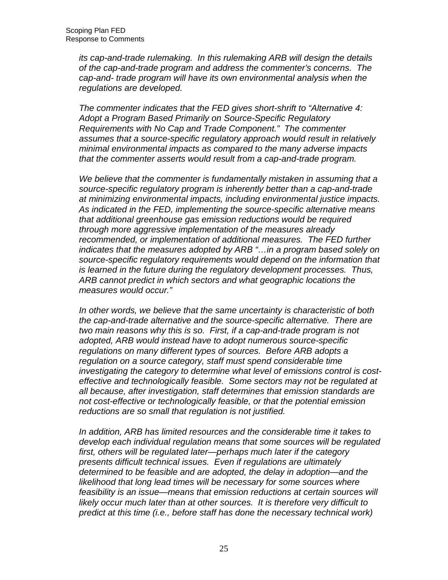its cap-and-trade rulemaking. In this rulemaking ARB will design the details of the cap-and-trade program and address the commenter's concerns. The cap-and- trade program will have its own environmental analysis when the regulations are developed.

 The commenter indicates that the FED gives short-shrift to "Alternative 4: Adopt a Program Based Primarily on Source-Specific Regulatory Requirements with No Cap and Trade Component." The commenter assumes that a source-specific regulatory approach would result in relatively minimal environmental impacts as compared to the many adverse impacts that the commenter asserts would result from a cap-and-trade program.

We believe that the commenter is fundamentally mistaken in assuming that a source-specific regulatory program is inherently better than a cap-and-trade at minimizing environmental impacts, including environmental justice impacts. As indicated in the FED, implementing the source-specific alternative means that additional greenhouse gas emission reductions would be required through more aggressive implementation of the measures already recommended, or implementation of additional measures. The FED further indicates that the measures adopted by ARB "…in a program based solely on source-specific regulatory requirements would depend on the information that is learned in the future during the regulatory development processes. Thus, ARB cannot predict in which sectors and what geographic locations the measures would occur."

 In other words, we believe that the same uncertainty is characteristic of both the cap-and-trade alternative and the source-specific alternative. There are two main reasons why this is so. First, if a cap-and-trade program is not adopted, ARB would instead have to adopt numerous source-specific regulations on many different types of sources. Before ARB adopts a regulation on a source category, staff must spend considerable time investigating the category to determine what level of emissions control is cost- effective and technologically feasible. Some sectors may not be regulated at all because, after investigation, staff determines that emission standards are not cost-effective or technologically feasible, or that the potential emission reductions are so small that regulation is not justified.

 In addition, ARB has limited resources and the considerable time it takes to develop each individual regulation means that some sources will be regulated first, others will be regulated later—perhaps much later if the category presents difficult technical issues. Even if regulations are ultimately determined to be feasible and are adopted, the delay in adoption—and the likelihood that long lead times will be necessary for some sources where feasibility is an issue—means that emission reductions at certain sources will likely occur much later than at other sources. It is therefore very difficult to predict at this time (i.e., before staff has done the necessary technical work)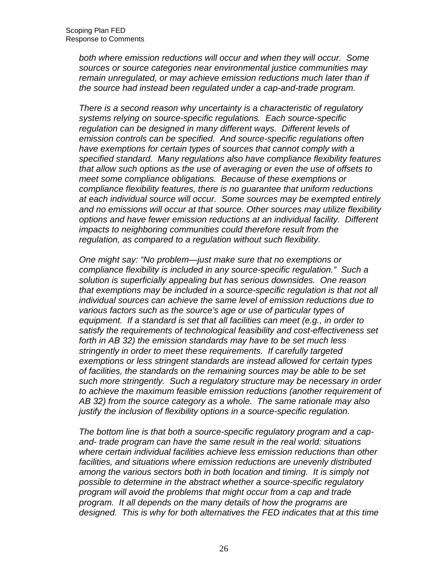both where emission reductions will occur and when they will occur. Some sources or source categories near environmental justice communities may remain unregulated, or may achieve emission reductions much later than if the source had instead been regulated under a cap-and-trade program.

 There is a second reason why uncertainty is a characteristic of regulatory systems relying on source-specific regulations. Each source-specific regulation can be designed in many different ways. Different levels of emission controls can be specified. And source-specific regulations often have exemptions for certain types of sources that cannot comply with a specified standard. Many regulations also have compliance flexibility features that allow such options as the use of averaging or even the use of offsets to meet some compliance obligations. Because of these exemptions or compliance flexibility features, there is no guarantee that uniform reductions at each individual source will occur. Some sources may be exempted entirely and no emissions will occur at that source. Other sources may utilize flexibility options and have fewer emission reductions at an individual facility. Different impacts to neighboring communities could therefore result from the regulation, as compared to a regulation without such flexibility.

 One might say: "No problem—just make sure that no exemptions or compliance flexibility is included in any source-specific regulation." Such a solution is superficially appealing but has serious downsides. One reason that exemptions may be included in a source-specific regulation is that not all individual sources can achieve the same level of emission reductions due to various factors such as the source's age or use of particular types of equipment. If a standard is set that all facilities can meet (e.g., in order to forth in AB 32) the emission standards may have to be set much less stringently in order to meet these requirements. If carefully targeted exemptions or less stringent standards are instead allowed for certain types of facilities, the standards on the remaining sources may be able to be set such more stringently. Such a regulatory structure may be necessary in order to achieve the maximum feasible emission reductions (another requirement of AB 32) from the source category as a whole. The same rationale may also justify the inclusion of flexibility options in a source-specific regulation. satisfy the requirements of technological feasibility and cost-effectiveness set

 The bottom line is that both a source-specific regulatory program and a cap- and- trade program can have the same result in the real world: situations where certain individual facilities achieve less emission reductions than other facilities, and situations where emission reductions are unevenly distributed among the various sectors both in both location and timing. It is simply not possible to determine in the abstract whether a source-specific regulatory program will avoid the problems that might occur from a cap and trade program. It all depends on the many details of how the programs are designed. This is why for both alternatives the FED indicates that at this time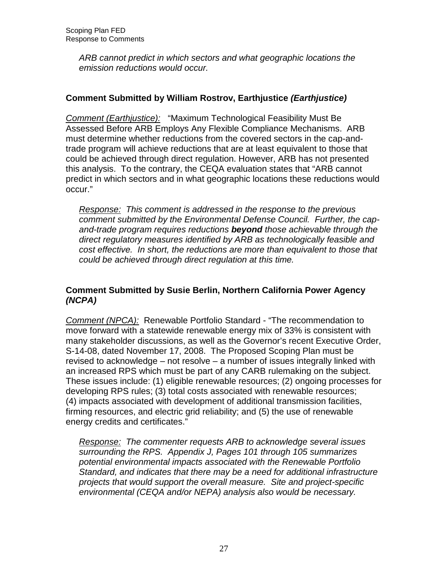ARB cannot predict in which sectors and what geographic locations the emission reductions would occur.

# **Comment Submitted by William Rostrov, Earthjustice (Earthjustice)**

Comment (Earthjustice): "Maximum Technological Feasibility Must Be Assessed Before ARB Employs Any Flexible Compliance Mechanisms. ARB must determine whether reductions from the covered sectors in the cap-and- trade program will achieve reductions that are at least equivalent to those that could be achieved through direct regulation. However, ARB has not presented this analysis. To the contrary, the CEQA evaluation states that "ARB cannot predict in which sectors and in what geographic locations these reductions would occur."

Response: This comment is addressed in the response to the previous comment submitted by the Environmental Defense Council. Further, the cap- and-trade program requires reductions **beyond** those achievable through the direct regulatory measures identified by ARB as technologically feasible and cost effective. In short, the reductions are more than equivalent to those that could be achieved through direct regulation at this time.

# **Comment Submitted by Susie Berlin, Northern California Power Agency (NCPA)**

Comment (NPCA): Renewable Portfolio Standard - "The recommendation to move forward with a statewide renewable energy mix of 33% is consistent with many stakeholder discussions, as well as the Governor's recent Executive Order, S-14-08, dated November 17, 2008. The Proposed Scoping Plan must be revised to acknowledge – not resolve – a number of issues integrally linked with an increased RPS which must be part of any CARB rulemaking on the subject. These issues include: (1) eligible renewable resources; (2) ongoing processes for developing RPS rules; (3) total costs associated with renewable resources; (4) impacts associated with development of additional transmission facilities, firming resources, and electric grid reliability; and (5) the use of renewable energy credits and certificates."

Response: The commenter requests ARB to acknowledge several issues surrounding the RPS. Appendix J, Pages 101 through 105 summarizes potential environmental impacts associated with the Renewable Portfolio Standard, and indicates that there may be a need for additional infrastructure projects that would support the overall measure. Site and project-specific environmental (CEQA and/or NEPA) analysis also would be necessary.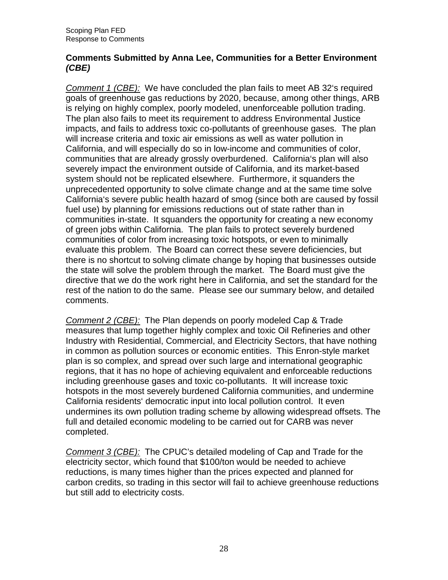#### **Comments Submitted by Anna Lee, Communities for a Better Environment (CBE)**

Comment 1 (CBE): We have concluded the plan fails to meet AB 32's required goals of greenhouse gas reductions by 2020, because, among other things, ARB is relying on highly complex, poorly modeled, unenforceable pollution trading. The plan also fails to meet its requirement to address Environmental Justice impacts, and fails to address toxic co-pollutants of greenhouse gases. The plan will increase criteria and toxic air emissions as well as water pollution in California, and will especially do so in low-income and communities of color, communities that are already grossly overburdened. California's plan will also severely impact the environment outside of California, and its market-based system should not be replicated elsewhere. Furthermore, it squanders the unprecedented opportunity to solve climate change and at the same time solve California's severe public health hazard of smog (since both are caused by fossil fuel use) by planning for emissions reductions out of state rather than in communities in-state. It squanders the opportunity for creating a new economy of green jobs within California. The plan fails to protect severely burdened communities of color from increasing toxic hotspots, or even to minimally evaluate this problem. The Board can correct these severe deficiencies, but there is no shortcut to solving climate change by hoping that businesses outside the state will solve the problem through the market. The Board must give the directive that we do the work right here in California, and set the standard for the rest of the nation to do the same. Please see our summary below, and detailed comments.

Comment 2 (CBE): The Plan depends on poorly modeled Cap & Trade measures that lump together highly complex and toxic Oil Refineries and other Industry with Residential, Commercial, and Electricity Sectors, that have nothing in common as pollution sources or economic entities. This Enron-style market plan is so complex, and spread over such large and international geographic regions, that it has no hope of achieving equivalent and enforceable reductions including greenhouse gases and toxic co-pollutants. It will increase toxic hotspots in the most severely burdened California communities, and undermine California residents' democratic input into local pollution control. It even undermines its own pollution trading scheme by allowing widespread offsets. The full and detailed economic modeling to be carried out for CARB was never completed.

Comment 3 (CBE): The CPUC's detailed modeling of Cap and Trade for the electricity sector, which found that \$100/ton would be needed to achieve reductions, is many times higher than the prices expected and planned for carbon credits, so trading in this sector will fail to achieve greenhouse reductions but still add to electricity costs.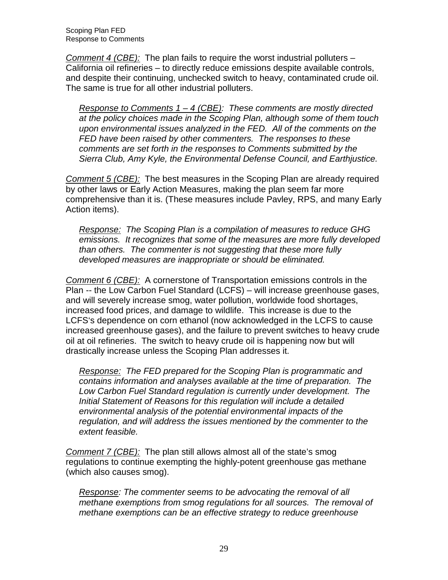Scoping Plan FED Response to Comments

Comment 4 (CBE): The plan fails to require the worst industrial polluters - California oil refineries – to directly reduce emissions despite available controls, and despite their continuing, unchecked switch to heavy, contaminated crude oil. The same is true for all other industrial polluters.

Response to Comments  $1 - 4$  (CBE): These comments are mostly directed at the policy choices made in the Scoping Plan, although some of them touch upon environmental issues analyzed in the FED. All of the comments on the FED have been raised by other commenters. The responses to these comments are set forth in the responses to Comments submitted by the Sierra Club, Amy Kyle, the Environmental Defense Council, and Earthjustice.

Comment 5 (CBE): The best measures in the Scoping Plan are already required by other laws or Early Action Measures, making the plan seem far more comprehensive than it is. (These measures include Pavley, RPS, and many Early Action items).

Response: The Scoping Plan is a compilation of measures to reduce GHG emissions. It recognizes that some of the measures are more fully developed than others. The commenter is not suggesting that these more fully developed measures are inappropriate or should be eliminated.

Comment 6 (CBE): A cornerstone of Transportation emissions controls in the Plan -- the Low Carbon Fuel Standard (LCFS) – will increase greenhouse gases, and will severely increase smog, water pollution, worldwide food shortages, increased food prices, and damage to wildlife. This increase is due to the LCFS's dependence on corn ethanol (now acknowledged in the LCFS to cause increased greenhouse gases), and the failure to prevent switches to heavy crude oil at oil refineries. The switch to heavy crude oil is happening now but will drastically increase unless the Scoping Plan addresses it.

Response: The FED prepared for the Scoping Plan is programmatic and contains information and analyses available at the time of preparation. The Low Carbon Fuel Standard regulation is currently under development. The Initial Statement of Reasons for this regulation will include a detailed environmental analysis of the potential environmental impacts of the regulation, and will address the issues mentioned by the commenter to the extent feasible.

Comment 7 (CBE): The plan still allows almost all of the state's smog regulations to continue exempting the highly-potent greenhouse gas methane (which also causes smog).

Response: The commenter seems to be advocating the removal of all methane exemptions from smog regulations for all sources. The removal of methane exemptions can be an effective strategy to reduce greenhouse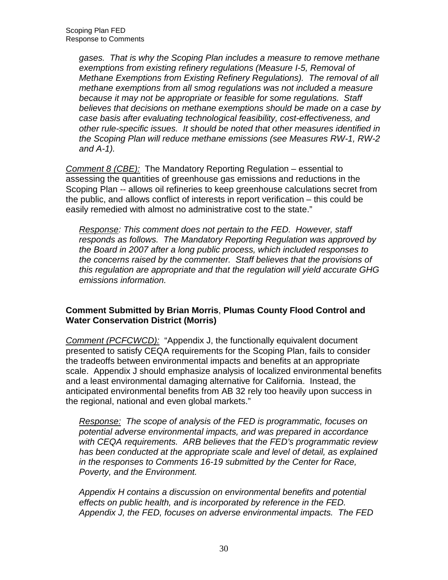gases. That is why the Scoping Plan includes a measure to remove methane exemptions from existing refinery regulations (Measure I-5, Removal of Methane Exemptions from Existing Refinery Regulations). The removal of all methane exemptions from all smog regulations was not included a measure because it may not be appropriate or feasible for some regulations. Staff believes that decisions on methane exemptions should be made on a case by case basis after evaluating technological feasibility, cost-effectiveness, and other rule-specific issues. It should be noted that other measures identified in the Scoping Plan will reduce methane emissions (see Measures RW-1, RW-2 and A-1).

Comment 8 (CBE): The Mandatory Reporting Regulation – essential to assessing the quantities of greenhouse gas emissions and reductions in the Scoping Plan -- allows oil refineries to keep greenhouse calculations secret from the public, and allows conflict of interests in report verification – this could be easily remedied with almost no administrative cost to the state."

Response: This comment does not pertain to the FED. However, staff responds as follows. The Mandatory Reporting Regulation was approved by the Board in 2007 after a long public process, which included responses to the concerns raised by the commenter. Staff believes that the provisions of this regulation are appropriate and that the regulation will yield accurate GHG emissions information.

# **Comment Submitted by Brian Morris**, **Plumas County Flood Control and Water Conservation District (Morris)**

Comment (PCFCWCD): "Appendix J, the functionally equivalent document presented to satisfy CEQA requirements for the Scoping Plan, fails to consider the tradeoffs between environmental impacts and benefits at an appropriate scale. Appendix J should emphasize analysis of localized environmental benefits and a least environmental damaging alternative for California. Instead, the anticipated environmental benefits from AB 32 rely too heavily upon success in the regional, national and even global markets."

Response: The scope of analysis of the FED is programmatic, focuses on potential adverse environmental impacts, and was prepared in accordance with CEQA requirements. ARB believes that the FED's programmatic review has been conducted at the appropriate scale and level of detail, as explained in the responses to Comments 16-19 submitted by the Center for Race, Poverty, and the Environment.

 Appendix H contains a discussion on environmental benefits and potential effects on public health, and is incorporated by reference in the FED. Appendix J, the FED, focuses on adverse environmental impacts. The FED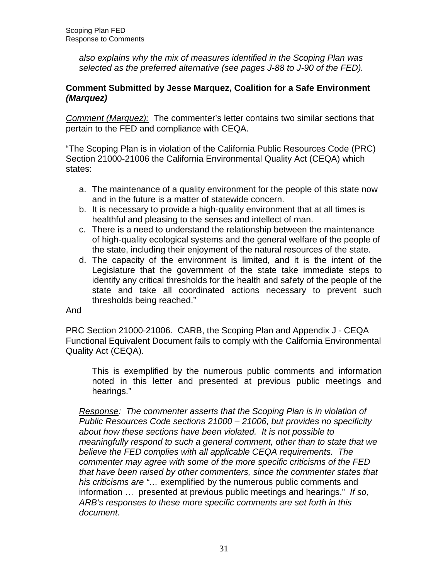also explains why the mix of measures identified in the Scoping Plan was selected as the preferred alternative (see pages J-88 to J-90 of the FED).

#### **Comment Submitted by Jesse Marquez, Coalition for a Safe Environment (Marquez)**

Comment (Marquez): The commenter's letter contains two similar sections that pertain to the FED and compliance with CEQA.

 "The Scoping Plan is in violation of the California Public Resources Code (PRC) Section 21000-21006 the California Environmental Quality Act (CEQA) which states:

- a. The maintenance of a quality environment for the people of this state now and in the future is a matter of statewide concern.
- b. It is necessary to provide a high-quality environment that at all times is healthful and pleasing to the senses and intellect of man.
- c. There is a need to understand the relationship between the maintenance of high-quality ecological systems and the general welfare of the people of the state, including their enjoyment of the natural resources of the state.
- d. The capacity of the environment is limited, and it is the intent of the Legislature that the government of the state take immediate steps to identify any critical thresholds for the health and safety of the people of the state and take all coordinated actions necessary to prevent such thresholds being reached."

#### And

And<br>PRC Section 21000-21006. CARB, the Scoping Plan and Appendix J - CEQA Functional Equivalent Document fails to comply with the California Environmental Quality Act (CEQA).

 This is exemplified by the numerous public comments and information noted in this letter and presented at previous public meetings and hearings."

Response: The commenter asserts that the Scoping Plan is in violation of Public Resources Code sections 21000 – 21006, but provides no specificity about how these sections have been violated. It is not possible to meaningfully respond to such a general comment, other than to state that we believe the FED complies with all applicable CEQA requirements. The commenter may agree with some of the more specific criticisms of the FED that have been raised by other commenters, since the commenter states that his criticisms are "... exemplified by the numerous public comments and information ... presented at previous public meetings and hearings." If so, ARB's responses to these more specific comments are set forth in this document.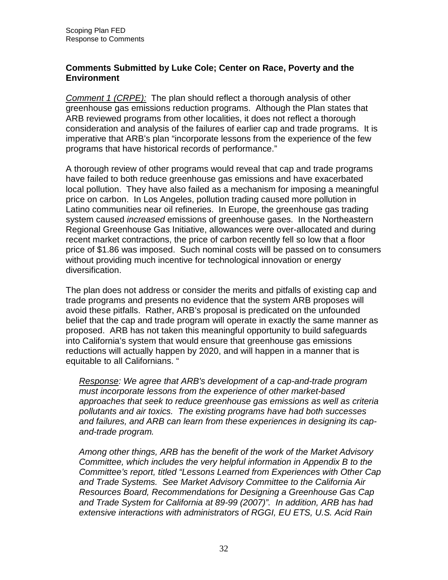# **Comments Submitted by Luke Cole; Center on Race, Poverty and the Environment**

Comment 1 (CRPE): The plan should reflect a thorough analysis of other greenhouse gas emissions reduction programs. Although the Plan states that ARB reviewed programs from other localities, it does not reflect a thorough consideration and analysis of the failures of earlier cap and trade programs. It is imperative that ARB's plan "incorporate lessons from the experience of the few programs that have historical records of performance."

 A thorough review of other programs would reveal that cap and trade programs have failed to both reduce greenhouse gas emissions and have exacerbated local pollution. They have also failed as a mechanism for imposing a meaningful price on carbon. In Los Angeles, pollution trading caused more pollution in Latino communities near oil refineries. In Europe, the greenhouse gas trading system caused *increased* emissions of greenhouse gases. In the Northeastern Regional Greenhouse Gas Initiative, allowances were over-allocated and during recent market contractions, the price of carbon recently fell so low that a floor price of \$1.86 was imposed. Such nominal costs will be passed on to consumers without providing much incentive for technological innovation or energy diversification.

diversification.<br>The plan does not address or consider the merits and pitfalls of existing cap and trade programs and presents no evidence that the system ARB proposes will avoid these pitfalls. Rather, ARB's proposal is predicated on the unfounded belief that the cap and trade program will operate in exactly the same manner as proposed. ARB has not taken this meaningful opportunity to build safeguards into California's system that would ensure that greenhouse gas emissions reductions will actually happen by 2020, and will happen in a manner that is equitable to all Californians. "

Response: We agree that ARB's development of a cap-and-trade program must incorporate lessons from the experience of other market-based approaches that seek to reduce greenhouse gas emissions as well as criteria pollutants and air toxics. The existing programs have had both successes and failures, and ARB can learn from these experiences in designing its cap-and-trade program.

 Among other things, ARB has the benefit of the work of the Market Advisory Committee, which includes the very helpful information in Appendix B to the Committee's report, titled "Lessons Learned from Experiences with Other Cap and Trade Systems. See Market Advisory Committee to the California Air Resources Board, Recommendations for Designing a Greenhouse Gas Cap and Trade System for California at 89-99 (2007)". In addition, ARB has had extensive interactions with administrators of RGGI, EU ETS, U.S. Acid Rain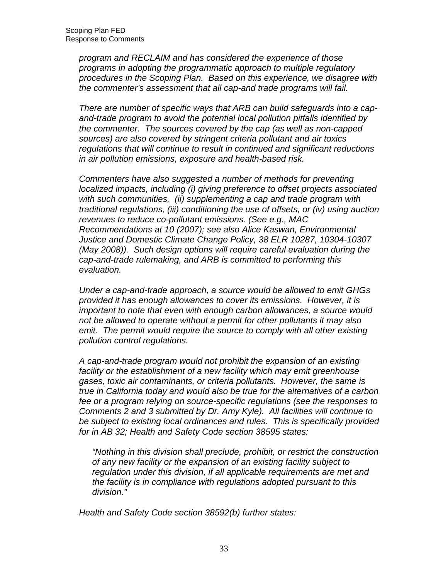program and RECLAIM and has considered the experience of those programs in adopting the programmatic approach to multiple regulatory procedures in the Scoping Plan. Based on this experience, we disagree with the commenter's assessment that all cap-and trade programs will fail.

 There are number of specific ways that ARB can build safeguards into a cap- and-trade program to avoid the potential local pollution pitfalls identified by the commenter. The sources covered by the cap (as well as non-capped sources) are also covered by stringent criteria pollutant and air toxics regulations that will continue to result in continued and significant reductions in air pollution emissions, exposure and health-based risk.

 Commenters have also suggested a number of methods for preventing localized impacts, including (i) giving preference to offset projects associated with such communities, (ii) supplementing a cap and trade program with traditional regulations, (iii) conditioning the use of offsets, or (iv) using auction revenues to reduce co-pollutant emissions. (See e.g., MAC Recommendations at 10 (2007); see also Alice Kaswan, Environmental Justice and Domestic Climate Change Policy, 38 ELR 10287, 10304-10307 (May 2008)). Such design options will require careful evaluation during the cap-and-trade rulemaking, and ARB is committed to performing this evaluation.

evaluation.<br>Under a cap-and-trade approach, a source would be allowed to emit GHGs provided it has enough allowances to cover its emissions. However, it is important to note that even with enough carbon allowances, a source would not be allowed to operate without a permit for other pollutants it may also emit. The permit would require the source to comply with all other existing pollution control regulations.

 A cap-and-trade program would not prohibit the expansion of an existing facility or the establishment of a new facility which may emit greenhouse gases, toxic air contaminants, or criteria pollutants. However, the same is true in California today and would also be true for the alternatives of a carbon fee or a program relying on source-specific regulations (see the responses to Comments 2 and 3 submitted by Dr. Amy Kyle). All facilities will continue to be subject to existing local ordinances and rules. This is specifically provided for in AB 32; Health and Safety Code section 38595 states:

 "Nothing in this division shall preclude, prohibit, or restrict the construction of any new facility or the expansion of an existing facility subject to regulation under this division, if all applicable requirements are met and the facility is in compliance with regulations adopted pursuant to this division."

division." Health and Safety Code section 38592(b) further states: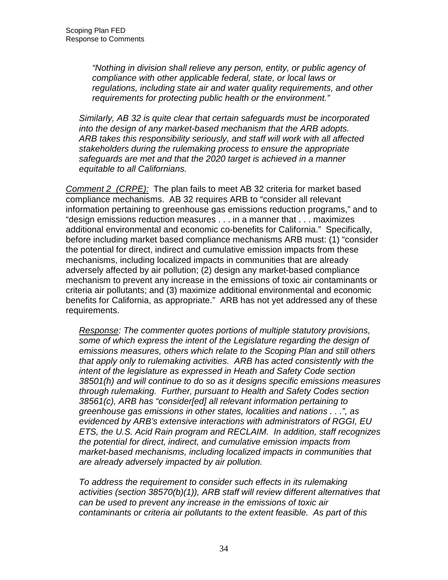"Nothing in division shall relieve any person, entity, or public agency of compliance with other applicable federal, state, or local laws or regulations, including state air and water quality requirements, and other requirements for protecting public health or the environment."

 Similarly, AB 32 is quite clear that certain safeguards must be incorporated into the design of any market-based mechanism that the ARB adopts. ARB takes this responsibility seriously, and staff will work with all affected stakeholders during the rulemaking process to ensure the appropriate safeguards are met and that the 2020 target is achieved in a manner equitable to all Californians.

Comment 2 (CRPE): The plan fails to meet AB 32 criteria for market based compliance mechanisms. AB 32 requires ARB to "consider all relevant information pertaining to greenhouse gas emissions reduction programs," and to "design emissions reduction measures . . . in a manner that . . . maximizes additional environmental and economic co-benefits for California." Specifically, before including market based compliance mechanisms ARB must: (1) "consider the potential for direct, indirect and cumulative emission impacts from these mechanisms, including localized impacts in communities that are already adversely affected by air pollution; (2) design any market-based compliance mechanism to prevent any increase in the emissions of toxic air contaminants or criteria air pollutants; and (3) maximize additional environmental and economic benefits for California, as appropriate." ARB has not yet addressed any of these requirements.

Response: The commenter quotes portions of multiple statutory provisions, some of which express the intent of the Legislature regarding the design of emissions measures, others which relate to the Scoping Plan and still others that apply only to rulemaking activities. ARB has acted consistently with the intent of the legislature as expressed in Heath and Safety Code section 38501(h) and will continue to do so as it designs specific emissions measures through rulemaking. Further, pursuant to Health and Safety Codes section 38561(c), ARB has "consider[ed] all relevant information pertaining to greenhouse gas emissions in other states, localities and nations . . .", as evidenced by ARB's extensive interactions with administrators of RGGI, EU ETS, the U.S. Acid Rain program and RECLAIM. In addition, staff recognizes the potential for direct, indirect, and cumulative emission impacts from market-based mechanisms, including localized impacts in communities that are already adversely impacted by air pollution.

 To address the requirement to consider such effects in its rulemaking activities (section 38570(b)(1)), ARB staff will review different alternatives that can be used to prevent any increase in the emissions of toxic air contaminants or criteria air pollutants to the extent feasible. As part of this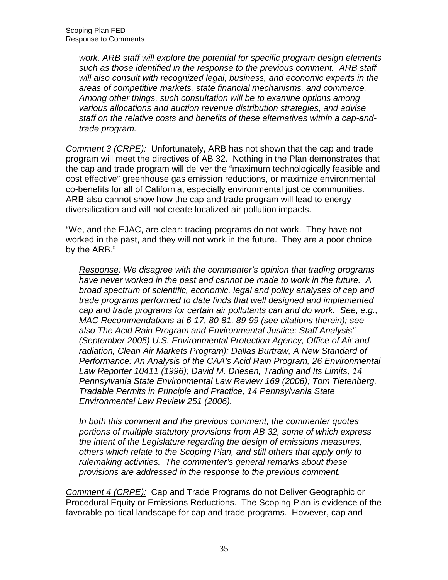work, ARB staff will explore the potential for specific program design elements such as those identified in the response to the previous comment. ARB staff will also consult with recognized legal, business, and economic experts in the areas of competitive markets, state financial mechanisms, and commerce. Among other things, such consultation will be to examine options among various allocations and auction revenue distribution strategies, and advise staff on the relative costs and benefits of these alternatives within a cap-and-trade program.

Comment 3 (CRPE): Unfortunately, ARB has not shown that the cap and trade program will meet the directives of AB 32. Nothing in the Plan demonstrates that the cap and trade program will deliver the "maximum technologically feasible and cost effective" greenhouse gas emission reductions, or maximize environmental co-benefits for all of California, especially environmental justice communities. ARB also cannot show how the cap and trade program will lead to energy diversification and will not create localized air pollution impacts.

 "We, and the EJAC, are clear: trading programs do not work. They have not worked in the past, and they will not work in the future. They are a poor choice by the ARB."

Response: We disagree with the commenter's opinion that trading programs have never worked in the past and cannot be made to work in the future. A broad spectrum of scientific, economic, legal and policy analyses of cap and trade programs performed to date finds that well designed and implemented cap and trade programs for certain air pollutants can and do work. See, e.g., MAC Recommendations at 6-17, 80-81, 89-99 (see citations therein); see also The Acid Rain Program and Environmental Justice: Staff Analysis" (September 2005) U.S. Environmental Protection Agency, Office of Air and radiation, Clean Air Markets Program); Dallas Burtraw, A New Standard of Performance: An Analysis of the CAA's Acid Rain Program, 26 Environmental Law Reporter 10411 (1996); David M. Driesen, Trading and Its Limits, 14 Pennsylvania State Environmental Law Review 169 (2006); Tom Tietenberg, Tradable Permits in Principle and Practice, 14 Pennsylvania State Environmental Law Review 251 (2006).

 In both this comment and the previous comment, the commenter quotes portions of multiple statutory provisions from AB 32, some of which express the intent of the Legislature regarding the design of emissions measures, others which relate to the Scoping Plan, and still others that apply only to rulemaking activities. The commenter's general remarks about these provisions are addressed in the response to the previous comment.

Comment 4 (CRPE): Cap and Trade Programs do not Deliver Geographic or Procedural Equity or Emissions Reductions. The Scoping Plan is evidence of the favorable political landscape for cap and trade programs. However, cap and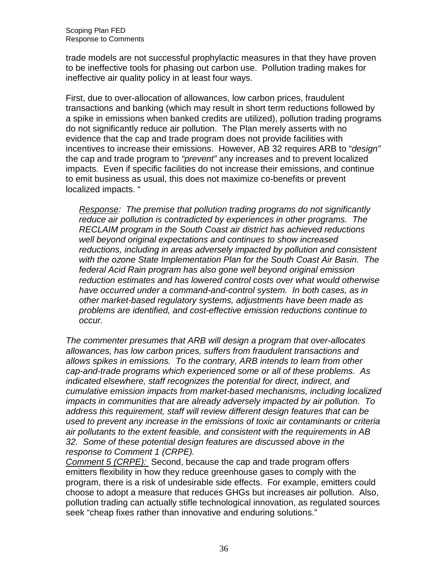trade models are not successful prophylactic measures in that they have proven to be ineffective tools for phasing out carbon use. Pollution trading makes for ineffective air quality policy in at least four ways.

 First, due to over-allocation of allowances, low carbon prices, fraudulent transactions and banking (which may result in short term reductions followed by a spike in emissions when banked credits are utilized), pollution trading programs do not significantly reduce air pollution. The Plan merely asserts with no evidence that the cap and trade program does not provide facilities with incentives to increase their emissions. However, AB 32 requires ARB to "design" the cap and trade program to "prevent" any increases and to prevent localized impacts. Even if specific facilities do not increase their emissions, and continue to emit business as usual, this does not maximize co-benefits or prevent localized impacts. "

Response: The premise that pollution trading programs do not significantly reduce air pollution is contradicted by experiences in other programs. The RECLAIM program in the South Coast air district has achieved reductions well beyond original expectations and continues to show increased reductions, including in areas adversely impacted by pollution and consistent with the ozone State Implementation Plan for the South Coast Air Basin. The federal Acid Rain program has also gone well beyond original emission reduction estimates and has lowered control costs over what would otherwise have occurred under a command-and-control system. In both cases, as in other market-based regulatory systems, adjustments have been made as problems are identified, and cost-effective emission reductions continue to occur.

 occur. The commenter presumes that ARB will design a program that over-allocates allowances, has low carbon prices, suffers from fraudulent transactions and allows spikes in emissions. To the contrary, ARB intends to learn from other cap-and-trade programs which experienced some or all of these problems. As indicated elsewhere, staff recognizes the potential for direct, indirect, and cumulative emission impacts from market-based mechanisms, including localized impacts in communities that are already adversely impacted by air pollution. To address this requirement, staff will review different design features that can be used to prevent any increase in the emissions of toxic air contaminants or criteria air pollutants to the extent feasible, and consistent with the requirements in AB 32. Some of these potential design features are discussed above in the response to Comment 1 (CRPE).

Comment 5 (CRPE): Second, because the cap and trade program offers emitters flexibility in how they reduce greenhouse gases to comply with the program, there is a risk of undesirable side effects. For example, emitters could choose to adopt a measure that reduces GHGs but increases air pollution. Also, pollution trading can actually stifle technological innovation, as regulated sources seek "cheap fixes rather than innovative and enduring solutions."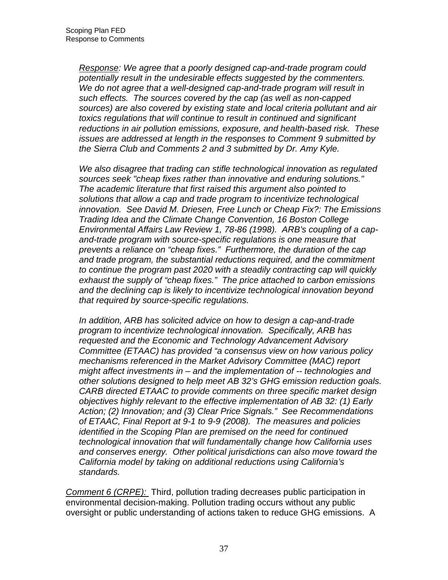Response: We agree that a poorly designed cap-and-trade program could potentially result in the undesirable effects suggested by the commenters. We do not agree that a well-designed cap-and-trade program will result in such effects. The sources covered by the cap (as well as non-capped sources) are also covered by existing state and local criteria pollutant and air toxics regulations that will continue to result in continued and significant reductions in air pollution emissions, exposure, and health-based risk. These issues are addressed at length in the responses to Comment 9 submitted by the Sierra Club and Comments 2 and 3 submitted by Dr. Amy Kyle.

 We also disagree that trading can stifle technological innovation as regulated sources seek "cheap fixes rather than innovative and enduring solutions." The academic literature that first raised this argument also pointed to solutions that allow a cap and trade program to incentivize technological innovation. See David M. Driesen, Free Lunch or Cheap Fix?: The Emissions Trading Idea and the Climate Change Convention, 16 Boston College Environmental Affairs Law Review 1, 78-86 (1998). ARB's coupling of a cap- and-trade program with source-specific regulations is one measure that prevents a reliance on "cheap fixes." Furthermore, the duration of the cap and trade program, the substantial reductions required, and the commitment to continue the program past 2020 with a steadily contracting cap will quickly exhaust the supply of "cheap fixes." The price attached to carbon emissions and the declining cap is likely to incentivize technological innovation beyond that required by source-specific regulations.

 In addition, ARB has solicited advice on how to design a cap-and-trade program to incentivize technological innovation. Specifically, ARB has requested and the Economic and Technology Advancement Advisory Committee (ETAAC) has provided "a consensus view on how various policy mechanisms referenced in the Market Advisory Committee (MAC) report might affect investments in – and the implementation of -- technologies and other solutions designed to help meet AB 32's GHG emission reduction goals. CARB directed ETAAC to provide comments on three specific market design objectives highly relevant to the effective implementation of AB 32: (1) Early Action; (2) Innovation; and (3) Clear Price Signals." See Recommendations of ETAAC, Final Report at 9-1 to 9-9 (2008). The measures and policies identified in the Scoping Plan are premised on the need for continued technological innovation that will fundamentally change how California uses and conserves energy. Other political jurisdictions can also move toward the California model by taking on additional reductions using California's standards.

s*tandards.*<br>Comment 6 (CRPE): Third, pollution trading decreases public participation in environmental decision-making. Pollution trading occurs without any public oversight or public understanding of actions taken to reduce GHG emissions. A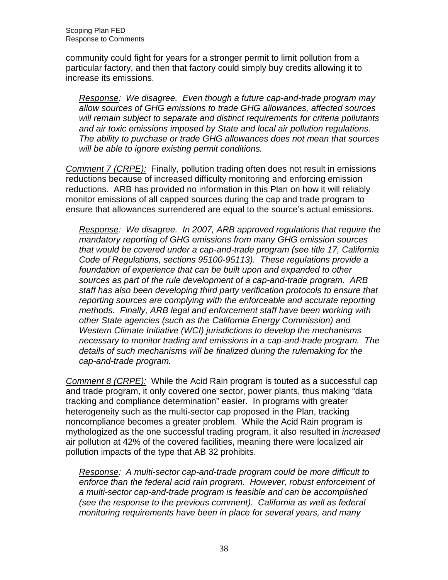community could fight for years for a stronger permit to limit pollution from a particular factory, and then that factory could simply buy credits allowing it to increase its emissions.

Response: We disagree. Even though a future cap-and-trade program may allow sources of GHG emissions to trade GHG allowances, affected sources will remain subject to separate and distinct requirements for criteria pollutants and air toxic emissions imposed by State and local air pollution regulations. The ability to purchase or trade GHG allowances does not mean that sources will be able to ignore existing permit conditions.

Comment 7 (CRPE): Finally, pollution trading often does not result in emissions reductions because of increased difficulty monitoring and enforcing emission reductions. ARB has provided no information in this Plan on how it will reliably monitor emissions of all capped sources during the cap and trade program to ensure that allowances surrendered are equal to the source's actual emissions.

Response: We disagree. In 2007, ARB approved regulations that require the mandatory reporting of GHG emissions from many GHG emission sources that would be covered under a cap-and-trade program (see title 17, California Code of Regulations, sections 95100-95113). These regulations provide a foundation of experience that can be built upon and expanded to other sources as part of the rule development of a cap-and-trade program. ARB staff has also been developing third party verification protocols to ensure that reporting sources are complying with the enforceable and accurate reporting methods. Finally, ARB legal and enforcement staff have been working with other State agencies (such as the California Energy Commission) and Western Climate Initiative (WCI) jurisdictions to develop the mechanisms necessary to monitor trading and emissions in a cap-and-trade program. The details of such mechanisms will be finalized during the rulemaking for the cap-and-trade program.

Comment 8 (CRPE): While the Acid Rain program is touted as a successful cap and trade program, it only covered one sector, power plants, thus making "data tracking and compliance determination" easier. In programs with greater heterogeneity such as the multi-sector cap proposed in the Plan, tracking noncompliance becomes a greater problem. While the Acid Rain program is mythologized as the one successful trading program, it also resulted in *increased*  air pollution at 42% of the covered facilities, meaning there were localized air pollution impacts of the type that AB 32 prohibits.

Response: A multi-sector cap-and-trade program could be more difficult to enforce than the federal acid rain program. However, robust enforcement of a multi-sector cap-and-trade program is feasible and can be accomplished (see the response to the previous comment). California as well as federal monitoring requirements have been in place for several years, and many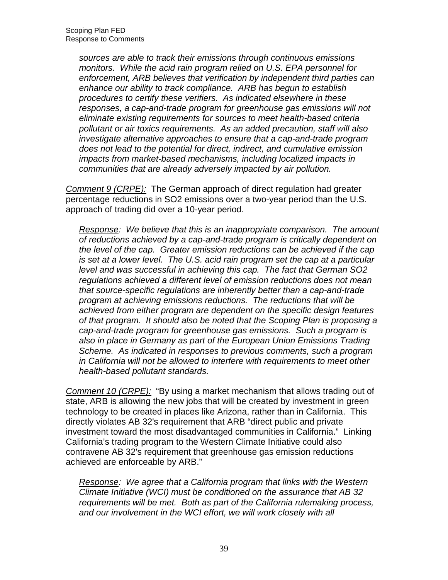sources are able to track their emissions through continuous emissions monitors. While the acid rain program relied on U.S. EPA personnel for enforcement, ARB believes that verification by independent third parties can enhance our ability to track compliance. ARB has begun to establish procedures to certify these verifiers. As indicated elsewhere in these responses, a cap-and-trade program for greenhouse gas emissions will not eliminate existing requirements for sources to meet health-based criteria pollutant or air toxics requirements. As an added precaution, staff will also investigate alternative approaches to ensure that a cap-and-trade program does not lead to the potential for direct, indirect, and cumulative emission impacts from market-based mechanisms, including localized impacts in communities that are already adversely impacted by air pollution.

Comment 9 (CRPE): The German approach of direct regulation had greater percentage reductions in SO2 emissions over a two-year period than the U.S. approach of trading did over a 10-year period.

Response: We believe that this is an inappropriate comparison. The amount of reductions achieved by a cap-and-trade program is critically dependent on the level of the cap. Greater emission reductions can be achieved if the cap is set at a lower level. The U.S. acid rain program set the cap at a particular level and was successful in achieving this cap. The fact that German SO2 regulations achieved a different level of emission reductions does not mean that source-specific regulations are inherently better than a cap-and-trade program at achieving emissions reductions. The reductions that will be achieved from either program are dependent on the specific design features of that program. It should also be noted that the Scoping Plan is proposing a cap-and-trade program for greenhouse gas emissions. Such a program is also in place in Germany as part of the European Union Emissions Trading Scheme. As indicated in responses to previous comments, such a program in California will not be allowed to interfere with requirements to meet other health-based pollutant standards.

Comment 10 (CRPE): "By using a market mechanism that allows trading out of state, ARB is allowing the new jobs that will be created by investment in green technology to be created in places like Arizona, rather than in California. This directly violates AB 32's requirement that ARB "direct public and private investment toward the most disadvantaged communities in California." Linking California's trading program to the Western Climate Initiative could also contravene AB 32's requirement that greenhouse gas emission reductions achieved are enforceable by ARB."

Response: We agree that a California program that links with the Western Climate Initiative (WCI) must be conditioned on the assurance that AB 32 requirements will be met. Both as part of the California rulemaking process, and our involvement in the WCI effort, we will work closely with all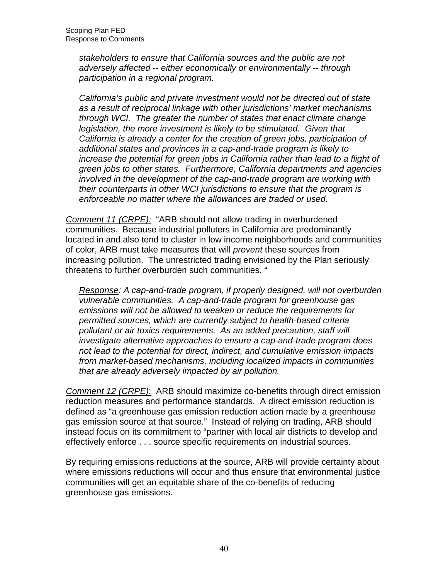stakeholders to ensure that California sources and the public are not adversely affected -- either economically or environmentally -- through participation in a regional program.

 California's public and private investment would not be directed out of state as a result of reciprocal linkage with other jurisdictions' market mechanisms through WCI. The greater the number of states that enact climate change legislation, the more investment is likely to be stimulated. Given that California is already a center for the creation of green jobs, participation of additional states and provinces in a cap-and-trade program is likely to increase the potential for green jobs in California rather than lead to a flight of green jobs to other states. Furthermore, California departments and agencies involved in the development of the cap-and-trade program are working with their counterparts in other WCI jurisdictions to ensure that the program is enforceable no matter where the allowances are traded or used.

Comment 11 (CRPE): "ARB should not allow trading in overburdened  communities. Because industrial polluters in California are predominantly located in and also tend to cluster in low income neighborhoods and communities of color, ARB must take measures that will *prevent* these sources from increasing pollution. The unrestricted trading envisioned by the Plan seriously threatens to further overburden such communities. "

Response: A cap-and-trade program, if properly designed, will not overburden vulnerable communities. A cap-and-trade program for greenhouse gas emissions will not be allowed to weaken or reduce the requirements for permitted sources, which are currently subject to health-based criteria pollutant or air toxics requirements. As an added precaution, staff will investigate alternative approaches to ensure a cap-and-trade program does not lead to the potential for direct, indirect, and cumulative emission impacts from market-based mechanisms, including localized impacts in communities that are already adversely impacted by air pollution.

Comment 12 (CRPE): ARB should maximize co-benefits through direct emission reduction measures and performance standards. A direct emission reduction is defined as "a greenhouse gas emission reduction action made by a greenhouse gas emission source at that source." Instead of relying on trading, ARB should instead focus on its commitment to "partner with local air districts to develop and effectively enforce . . . source specific requirements on industrial sources.

 By requiring emissions reductions at the source, ARB will provide certainty about where emissions reductions will occur and thus ensure that environmental justice communities will get an equitable share of the co-benefits of reducing greenhouse gas emissions.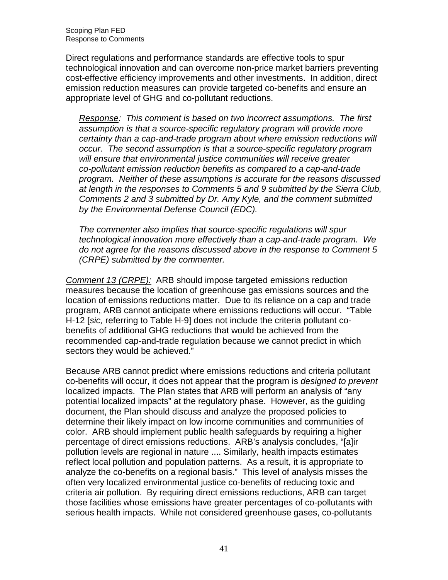Direct regulations and performance standards are effective tools to spur technological innovation and can overcome non-price market barriers preventing cost-effective efficiency improvements and other investments. In addition, direct emission reduction measures can provide targeted co-benefits and ensure an appropriate level of GHG and co-pollutant reductions.

Response: This comment is based on two incorrect assumptions. The first assumption is that a source-specific regulatory program will provide more certainty than a cap-and-trade program about where emission reductions will occur. The second assumption is that a source-specific regulatory program will ensure that environmental justice communities will receive greater co-pollutant emission reduction benefits as compared to a cap-and-trade program. Neither of these assumptions is accurate for the reasons discussed at length in the responses to Comments 5 and 9 submitted by the Sierra Club, Comments 2 and 3 submitted by Dr. Amy Kyle, and the comment submitted by the Environmental Defense Council (EDC).

 The commenter also implies that source-specific regulations will spur technological innovation more effectively than a cap-and-trade program. We do not agree for the reasons discussed above in the response to Comment 5 (CRPE) submitted by the commenter.

Comment 13 (CRPE): ARB should impose targeted emissions reduction measures because the location of greenhouse gas emissions sources and the location of emissions reductions matter. Due to its reliance on a cap and trade program, ARB cannot anticipate where emissions reductions will occur. "Table H-12 [sic, referring to Table H-9] does not include the criteria pollutant co- benefits of additional GHG reductions that would be achieved from the recommended cap-and-trade regulation because we cannot predict in which sectors they would be achieved."

 Because ARB cannot predict where emissions reductions and criteria pollutant co-benefits will occur, it does not appear that the program is designed to prevent localized impacts. The Plan states that ARB will perform an analysis of "any potential localized impacts" at the regulatory phase. However, as the guiding document, the Plan should discuss and analyze the proposed policies to determine their likely impact on low income communities and communities of color. ARB should implement public health safeguards by requiring a higher percentage of direct emissions reductions. ARB's analysis concludes, "[a]ir pollution levels are regional in nature .... Similarly, health impacts estimates reflect local pollution and population patterns. As a result, it is appropriate to analyze the co-benefits on a regional basis." This level of analysis misses the often very localized environmental justice co-benefits of reducing toxic and criteria air pollution. By requiring direct emissions reductions, ARB can target those facilities whose emissions have greater percentages of co-pollutants with serious health impacts. While not considered greenhouse gases, co-pollutants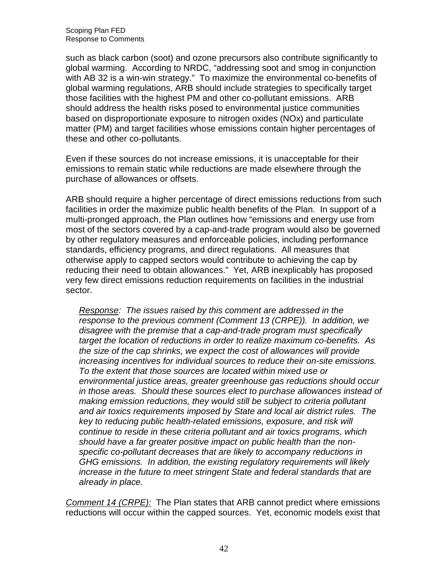such as black carbon (soot) and ozone precursors also contribute significantly to global warming. According to NRDC, "addressing soot and smog in conjunction with AB 32 is a win-win strategy." To maximize the environmental co-benefits of global warming regulations, ARB should include strategies to specifically target those facilities with the highest PM and other co-pollutant emissions. ARB should address the health risks posed to environmental justice communities based on disproportionate exposure to nitrogen oxides (NOx) and particulate matter (PM) and target facilities whose emissions contain higher percentages of these and other co-pollutants.

 Even if these sources do not increase emissions, it is unacceptable for their emissions to remain static while reductions are made elsewhere through the purchase of allowances or offsets.

 ARB should require a higher percentage of direct emissions reductions from such facilities in order the maximize public health benefits of the Plan. In support of a multi-pronged approach, the Plan outlines how "emissions and energy use from most of the sectors covered by a cap-and-trade program would also be governed by other regulatory measures and enforceable policies, including performance standards, efficiency programs, and direct regulations. All measures that otherwise apply to capped sectors would contribute to achieving the cap by reducing their need to obtain allowances." Yet, ARB inexplicably has proposed very few direct emissions reduction requirements on facilities in the industrial sector.

Response: The issues raised by this comment are addressed in the response to the previous comment (Comment 13 (CRPE)). In addition, we disagree with the premise that a cap-and-trade program must specifically target the location of reductions in order to realize maximum co-benefits. As the size of the cap shrinks, we expect the cost of allowances will provide increasing incentives for individual sources to reduce their on-site emissions. To the extent that those sources are located within mixed use or environmental justice areas, greater greenhouse gas reductions should occur in those areas. Should these sources elect to purchase allowances instead of making emission reductions, they would still be subject to criteria pollutant and air toxics requirements imposed by State and local air district rules. The key to reducing public health-related emissions, exposure, and risk will continue to reside in these criteria pollutant and air toxics programs, which should have a far greater positive impact on public health than the non- specific co-pollutant decreases that are likely to accompany reductions in GHG emissions. In addition, the existing regulatory requirements will likely increase in the future to meet stringent State and federal standards that are already in place.

Comment 14 (CRPE): The Plan states that ARB cannot predict where emissions reductions will occur within the capped sources. Yet, economic models exist that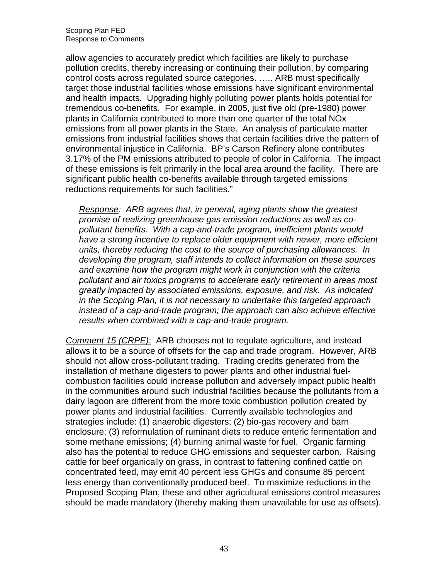allow agencies to accurately predict which facilities are likely to purchase pollution credits, thereby increasing or continuing their pollution, by comparing control costs across regulated source categories. ….. ARB must specifically target those industrial facilities whose emissions have significant environmental and health impacts. Upgrading highly polluting power plants holds potential for tremendous co-benefits. For example, in 2005, just five old (pre-1980) power plants in California contributed to more than one quarter of the total NOx emissions from all power plants in the State. An analysis of particulate matter emissions from industrial facilities shows that certain facilities drive the pattern of environmental injustice in California. BP's Carson Refinery alone contributes 3.17% of the PM emissions attributed to people of color in California. The impact of these emissions is felt primarily in the local area around the facility. There are significant public health co-benefits available through targeted emissions reductions requirements for such facilities."

Response: ARB agrees that, in general, aging plants show the greatest promise of realizing greenhouse gas emission reductions as well as co- pollutant benefits. With a cap-and-trade program, inefficient plants would have a strong incentive to replace older equipment with newer, more efficient units, thereby reducing the cost to the source of purchasing allowances. In developing the program, staff intends to collect information on these sources and examine how the program might work in conjunction with the criteria pollutant and air toxics programs to accelerate early retirement in areas most greatly impacted by associated emissions, exposure, and risk. As indicated in the Scoping Plan, it is not necessary to undertake this targeted approach instead of a cap-and-trade program; the approach can also achieve effective results when combined with a cap-and-trade program.

Comment 15 (CRPE): ARB chooses not to regulate agriculture, and instead allows it to be a source of offsets for the cap and trade program. However, ARB should not allow cross-pollutant trading. Trading credits generated from the installation of methane digesters to power plants and other industrial fuel- combustion facilities could increase pollution and adversely impact public health in the communities around such industrial facilities because the pollutants from a dairy lagoon are different from the more toxic combustion pollution created by power plants and industrial facilities. Currently available technologies and strategies include: (1) anaerobic digesters; (2) bio-gas recovery and barn enclosure; (3) reformulation of ruminant diets to reduce enteric fermentation and some methane emissions; (4) burning animal waste for fuel. Organic farming also has the potential to reduce GHG emissions and sequester carbon. Raising cattle for beef organically on grass, in contrast to fattening confined cattle on concentrated feed, may emit 40 percent less GHGs and consume 85 percent less energy than conventionally produced beef. To maximize reductions in the Proposed Scoping Plan, these and other agricultural emissions control measures should be made mandatory (thereby making them unavailable for use as offsets).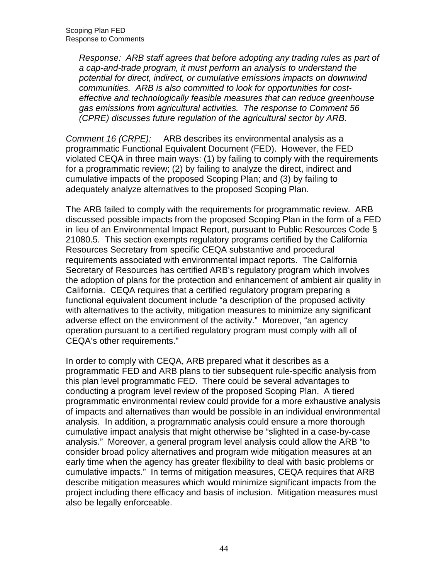Response: ARB staff agrees that before adopting any trading rules as part of a cap-and-trade program, it must perform an analysis to understand the potential for direct, indirect, or cumulative emissions impacts on downwind communities. ARB is also committed to look for opportunities for cost- effective and technologically feasible measures that can reduce greenhouse gas emissions from agricultural activities. The response to Comment 56 (CPRE) discusses future regulation of the agricultural sector by ARB.

Comment 16 (CRPE): programmatic Functional Equivalent Document (FED). However, the FED violated CEQA in three main ways: (1) by failing to comply with the requirements for a programmatic review; (2) by failing to analyze the direct, indirect and cumulative impacts of the proposed Scoping Plan; and (3) by failing to adequately analyze alternatives to the proposed Scoping Plan. ARB describes its environmental analysis as a

 The ARB failed to comply with the requirements for programmatic review. ARB discussed possible impacts from the proposed Scoping Plan in the form of a FED in lieu of an Environmental Impact Report, pursuant to Public Resources Code § 21080.5. This section exempts regulatory programs certified by the California Resources Secretary from specific CEQA substantive and procedural requirements associated with environmental impact reports. The California Secretary of Resources has certified ARB's regulatory program which involves the adoption of plans for the protection and enhancement of ambient air quality in California. CEQA requires that a certified regulatory program preparing a functional equivalent document include "a description of the proposed activity with alternatives to the activity, mitigation measures to minimize any significant adverse effect on the environment of the activity." Moreover, "an agency operation pursuant to a certified regulatory program must comply with all of CEQA's other requirements."

 In order to comply with CEQA, ARB prepared what it describes as a programmatic FED and ARB plans to tier subsequent rule-specific analysis from this plan level programmatic FED. There could be several advantages to conducting a program level review of the proposed Scoping Plan. A tiered programmatic environmental review could provide for a more exhaustive analysis of impacts and alternatives than would be possible in an individual environmental analysis. In addition, a programmatic analysis could ensure a more thorough cumulative impact analysis that might otherwise be "slighted in a case-by-case analysis." Moreover, a general program level analysis could allow the ARB "to consider broad policy alternatives and program wide mitigation measures at an early time when the agency has greater flexibility to deal with basic problems or cumulative impacts." In terms of mitigation measures, CEQA requires that ARB describe mitigation measures which would minimize significant impacts from the project including there efficacy and basis of inclusion. Mitigation measures must also be legally enforceable.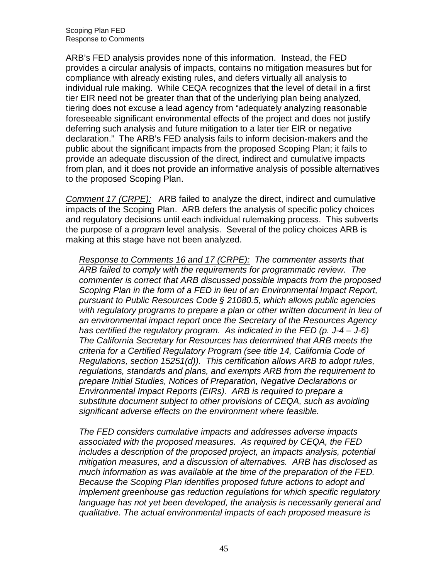ARB's FED analysis provides none of this information. Instead, the FED provides a circular analysis of impacts, contains no mitigation measures but for compliance with already existing rules, and defers virtually all analysis to individual rule making. While CEQA recognizes that the level of detail in a first tier EIR need not be greater than that of the underlying plan being analyzed, tiering does not excuse a lead agency from "adequately analyzing reasonable foreseeable significant environmental effects of the project and does not justify deferring such analysis and future mitigation to a later tier EIR or negative declaration." The ARB's FED analysis fails to inform decision-makers and the public about the significant impacts from the proposed Scoping Plan; it fails to provide an adequate discussion of the direct, indirect and cumulative impacts from plan, and it does not provide an informative analysis of possible alternatives to the proposed Scoping Plan.

Comment 17 (CRPE): ARB failed to analyze the direct, indirect and cumulative impacts of the Scoping Plan. ARB defers the analysis of specific policy choices and regulatory decisions until each individual rulemaking process. This subverts the purpose of a *program* level analysis. Several of the policy choices ARB is making at this stage have not been analyzed.

Response to Comments 16 and 17 (CRPE): The commenter asserts that ARB failed to comply with the requirements for programmatic review. The commenter is correct that ARB discussed possible impacts from the proposed Scoping Plan in the form of a FED in lieu of an Environmental Impact Report, pursuant to Public Resources Code § 21080.5, which allows public agencies with regulatory programs to prepare a plan or other written document in lieu of an environmental impact report once the Secretary of the Resources Agency has certified the regulatory program. As indicated in the FED (p. J-4 – J-6) The California Secretary for Resources has determined that ARB meets the criteria for a Certified Regulatory Program (see title 14, California Code of Regulations, section 15251(d)). This certification allows ARB to adopt rules, regulations, standards and plans, and exempts ARB from the requirement to prepare Initial Studies, Notices of Preparation, Negative Declarations or Environmental Impact Reports (EIRs). ARB is required to prepare a substitute document subject to other provisions of CEQA, such as avoiding significant adverse effects on the environment where feasible.

 The FED considers cumulative impacts and addresses adverse impacts associated with the proposed measures. As required by CEQA, the FED includes a description of the proposed project, an impacts analysis, potential mitigation measures, and a discussion of alternatives. ARB has disclosed as much information as was available at the time of the preparation of the FED. Because the Scoping Plan identifies proposed future actions to adopt and implement greenhouse gas reduction regulations for which specific regulatory language has not yet been developed, the analysis is necessarily general and qualitative. The actual environmental impacts of each proposed measure is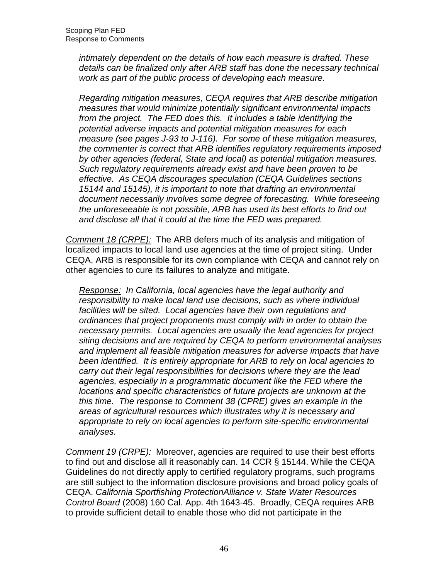intimately dependent on the details of how each measure is drafted. These details can be finalized only after ARB staff has done the necessary technical work as part of the public process of developing each measure.

 Regarding mitigation measures, CEQA requires that ARB describe mitigation measures that would minimize potentially significant environmental impacts from the project. The FED does this. It includes a table identifying the potential adverse impacts and potential mitigation measures for each measure (see pages J-93 to J-116). For some of these mitigation measures, the commenter is correct that ARB identifies regulatory requirements imposed by other agencies (federal, State and local) as potential mitigation measures. Such regulatory requirements already exist and have been proven to be effective. As CEQA discourages speculation (CEQA Guidelines sections 15144 and 15145), it is important to note that drafting an environmental document necessarily involves some degree of forecasting. While foreseeing the unforeseeable is not possible, ARB has used its best efforts to find out and disclose all that it could at the time the FED was prepared.

Comment 18 (CRPE): The ARB defers much of its analysis and mitigation of localized impacts to local land use agencies at the time of project siting. Under CEQA, ARB is responsible for its own compliance with CEQA and cannot rely on other agencies to cure its failures to analyze and mitigate.

Response: In California, local agencies have the legal authority and responsibility to make local land use decisions, such as where individual facilities will be sited. Local agencies have their own regulations and ordinances that project proponents must comply with in order to obtain the necessary permits. Local agencies are usually the lead agencies for project siting decisions and are required by CEQA to perform environmental analyses and implement all feasible mitigation measures for adverse impacts that have been identified. It is entirely appropriate for ARB to rely on local agencies to carry out their legal responsibilities for decisions where they are the lead agencies, especially in a programmatic document like the FED where the locations and specific characteristics of future projects are unknown at the this time. The response to Comment 38 (CPRE) gives an example in the areas of agricultural resources which illustrates why it is necessary and appropriate to rely on local agencies to perform site-specific environmental analyses.

analyses.<br><u>Comment 19 (CRPE):</u> Moreover, agencies are required to use their best efforts to find out and disclose all it reasonably can. 14 CCR § 15144. While the CEQA Guidelines do not directly apply to certified regulatory programs, such programs are still subject to the information disclosure provisions and broad policy goals of CEQA. California Sportfishing ProtectionAlliance v. State Water Resources Control Board (2008) 160 Cal. App. 4th 1643-45. Broadly, CEQA requires ARB to provide sufficient detail to enable those who did not participate in the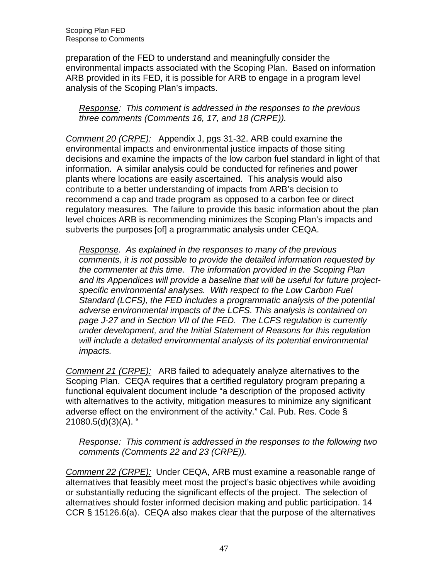preparation of the FED to understand and meaningfully consider the environmental impacts associated with the Scoping Plan. Based on information ARB provided in its FED, it is possible for ARB to engage in a program level analysis of the Scoping Plan's impacts.

#### Response: This comment is addressed in the responses to the previous three comments (Comments 16, 17, and 18 (CRPE)).

Comment 20 (CRPE): Appendix J, pgs 31-32. ARB could examine the environmental impacts and environmental justice impacts of those siting decisions and examine the impacts of the low carbon fuel standard in light of that information. A similar analysis could be conducted for refineries and power plants where locations are easily ascertained. This analysis would also contribute to a better understanding of impacts from ARB's decision to recommend a cap and trade program as opposed to a carbon fee or direct regulatory measures. The failure to provide this basic information about the plan level choices ARB is recommending minimizes the Scoping Plan's impacts and subverts the purposes [of] a programmatic analysis under CEQA.

Response. As explained in the responses to many of the previous comments, it is not possible to provide the detailed information requested by the commenter at this time. The information provided in the Scoping Plan and its Appendices will provide a baseline that will be useful for future project- specific environmental analyses. With respect to the Low Carbon Fuel Standard (LCFS), the FED includes a programmatic analysis of the potential adverse environmental impacts of the LCFS. This analysis is contained on page J-27 and in Section VII of the FED. The LCFS regulation is currently under development, and the Initial Statement of Reasons for this regulation will include a detailed environmental analysis of its potential environmental *impacts.* 

*impacts.*<br>Comment 21 (CRPE): ARB failed to adequately analyze alternatives to the Scoping Plan. CEQA requires that a certified regulatory program preparing a functional equivalent document include "a description of the proposed activity with alternatives to the activity, mitigation measures to minimize any significant adverse effect on the environment of the activity." Cal. Pub. Res. Code § 21080.5(d)(3)(A). "

Response: This comment is addressed in the responses to the following two comments (Comments 22 and 23 (CRPE)).

Comment 22 (CRPE): Under CEQA, ARB must examine a reasonable range of alternatives that feasibly meet most the project's basic objectives while avoiding or substantially reducing the significant effects of the project. The selection of alternatives should foster informed decision making and public participation. 14 CCR § 15126.6(a). CEQA also makes clear that the purpose of the alternatives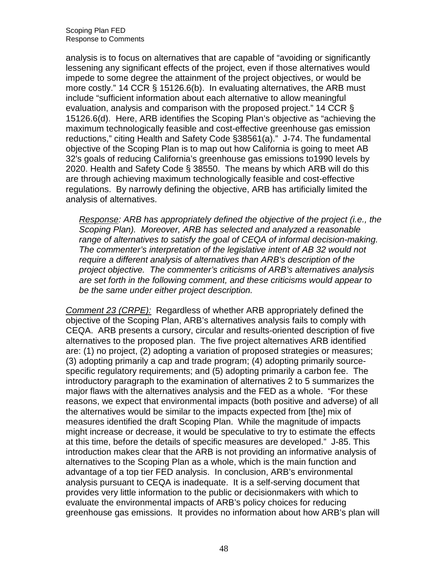analysis is to focus on alternatives that are capable of "avoiding or significantly lessening any significant effects of the project, even if those alternatives would impede to some degree the attainment of the project objectives, or would be more costly." 14 CCR § 15126.6(b). In evaluating alternatives, the ARB must include "sufficient information about each alternative to allow meaningful evaluation, analysis and comparison with the proposed project." 14 CCR § 15126.6(d). Here, ARB identifies the Scoping Plan's objective as "achieving the maximum technologically feasible and cost-effective greenhouse gas emission reductions," citing Health and Safety Code §38561(a)." J-74. The fundamental objective of the Scoping Plan is to map out how California is going to meet AB 32's goals of reducing California's greenhouse gas emissions to1990 levels by 2020. Health and Safety Code § 38550. The means by which ARB will do this are through achieving maximum technologically feasible and cost-effective regulations. By narrowly defining the objective, ARB has artificially limited the analysis of alternatives.

Response: ARB has appropriately defined the objective of the project (i.e., the Scoping Plan). Moreover, ARB has selected and analyzed a reasonable range of alternatives to satisfy the goal of CEQA of informal decision-making. The commenter's interpretation of the legislative intent of AB 32 would not require a different analysis of alternatives than ARB's description of the project objective. The commenter's criticisms of ARB's alternatives analysis are set forth in the following comment, and these criticisms would appear to be the same under either project description.

Comment 23 (CRPE): Regardless of whether ARB appropriately defined the objective of the Scoping Plan, ARB's alternatives analysis fails to comply with CEQA. ARB presents a cursory, circular and results-oriented description of five alternatives to the proposed plan. The five project alternatives ARB identified are: (1) no project, (2) adopting a variation of proposed strategies or measures; (3) adopting primarily a cap and trade program; (4) adopting primarily source- specific regulatory requirements; and (5) adopting primarily a carbon fee. The introductory paragraph to the examination of alternatives 2 to 5 summarizes the major flaws with the alternatives analysis and the FED as a whole. "For these reasons, we expect that environmental impacts (both positive and adverse) of all the alternatives would be similar to the impacts expected from [the] mix of measures identified the draft Scoping Plan. While the magnitude of impacts might increase or decrease, it would be speculative to try to estimate the effects at this time, before the details of specific measures are developed." J-85. This introduction makes clear that the ARB is not providing an informative analysis of alternatives to the Scoping Plan as a whole, which is the main function and advantage of a top tier FED analysis. In conclusion, ARB's environmental analysis pursuant to CEQA is inadequate. It is a self-serving document that provides very little information to the public or decisionmakers with which to evaluate the environmental impacts of ARB's policy choices for reducing greenhouse gas emissions. It provides no information about how ARB's plan will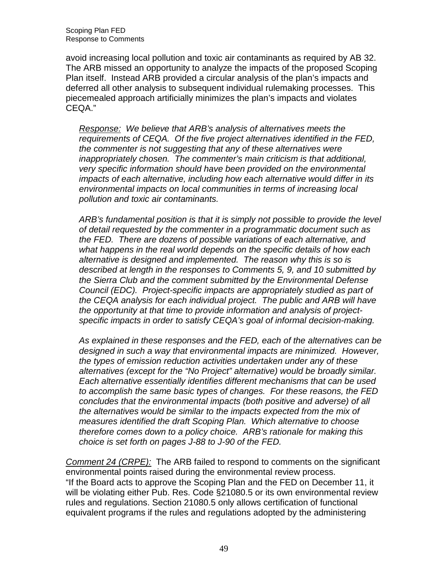Scoping Plan FED Response to Comments

 avoid increasing local pollution and toxic air contaminants as required by AB 32. The ARB missed an opportunity to analyze the impacts of the proposed Scoping Plan itself. Instead ARB provided a circular analysis of the plan's impacts and deferred all other analysis to subsequent individual rulemaking processes. This piecemealed approach artificially minimizes the plan's impacts and violates CEQA."

Response: We believe that ARB's analysis of alternatives meets the requirements of CEQA. Of the five project alternatives identified in the FED, the commenter is not suggesting that any of these alternatives were inappropriately chosen. The commenter's main criticism is that additional, very specific information should have been provided on the environmental impacts of each alternative, including how each alternative would differ in its environmental impacts on local communities in terms of increasing local pollution and toxic air contaminants.

 ARB's fundamental position is that it is simply not possible to provide the level of detail requested by the commenter in a programmatic document such as the FED. There are dozens of possible variations of each alternative, and what happens in the real world depends on the specific details of how each alternative is designed and implemented. The reason why this is so is described at length in the responses to Comments 5, 9, and 10 submitted by the Sierra Club and the comment submitted by the Environmental Defense Council (EDC). Project-specific impacts are appropriately studied as part of the CEQA analysis for each individual project. The public and ARB will have the opportunity at that time to provide information and analysis of project-specific impacts in order to satisfy CEQA's goal of informal decision-making.

 As explained in these responses and the FED, each of the alternatives can be designed in such a way that environmental impacts are minimized. However, the types of emission reduction activities undertaken under any of these alternatives (except for the "No Project" alternative) would be broadly similar. Each alternative essentially identifies different mechanisms that can be used to accomplish the same basic types of changes. For these reasons, the FED concludes that the environmental impacts (both positive and adverse) of all the alternatives would be similar to the impacts expected from the mix of measures identified the draft Scoping Plan. Which alternative to choose therefore comes down to a policy choice. ARB's rationale for making this choice is set forth on pages J-88 to J-90 of the FED.

Comment 24 (CRPE): The ARB failed to respond to comments on the significant environmental points raised during the environmental review process. "If the Board acts to approve the Scoping Plan and the FED on December 11, it will be violating either Pub. Res. Code §21080.5 or its own environmental review rules and regulations. Section 21080.5 only allows certification of functional equivalent programs if the rules and regulations adopted by the administering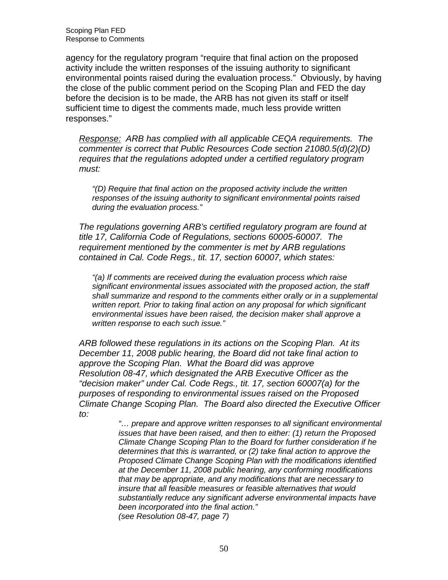Scoping Plan FED Response to Comments

 agency for the regulatory program "require that final action on the proposed activity include the written responses of the issuing authority to significant environmental points raised during the evaluation process." Obviously, by having the close of the public comment period on the Scoping Plan and FED the day before the decision is to be made, the ARB has not given its staff or itself sufficient time to digest the comments made, much less provide written responses."

Response: ARB has complied with all applicable CEQA requirements. The commenter is correct that Public Resources Code section 21080.5(d)(2)(D) requires that the regulations adopted under a certified regulatory program must: must: "(D) Require that final action on the proposed activity include the written

 responses of the issuing authority to significant environmental points raised during the evaluation process."

 The regulations governing ARB's certified regulatory program are found at title 17, California Code of Regulations, sections 60005-60007. The requirement mentioned by the commenter is met by ARB regulations contained in Cal. Code Regs., tit. 17, section 60007, which states:

 "(a) If comments are received during the evaluation process which raise significant environmental issues associated with the proposed action, the staff shall summarize and respond to the comments either orally or in a supplemental written report. Prior to taking final action on any proposal for which significant environmental issues have been raised, the decision maker shall approve a written response to each such issue."

 ARB followed these regulations in its actions on the Scoping Plan. At its December 11, 2008 public hearing, the Board did not take final action to approve the Scoping Plan. What the Board did was approve Resolution 08-47, which designated the ARB Executive Officer as the "decision maker" under Cal. Code Regs., tit. 17, section 60007(a) for the purposes of responding to environmental issues raised on the Proposed Climate Change Scoping Plan. The Board also directed the Executive Officer to:

> "… prepare and approve written responses to all significant environmental issues that have been raised, and then to either: (1) return the Proposed Climate Change Scoping Plan to the Board for further consideration if he determines that this is warranted, or (2) take final action to approve the Proposed Climate Change Scoping Plan with the modifications identified at the December 11, 2008 public hearing, any conforming modifications that may be appropriate, and any modifications that are necessary to insure that all feasible measures or feasible alternatives that would substantially reduce any significant adverse environmental impacts have been incorporated into the final action." (see Resolution 08-47, page 7)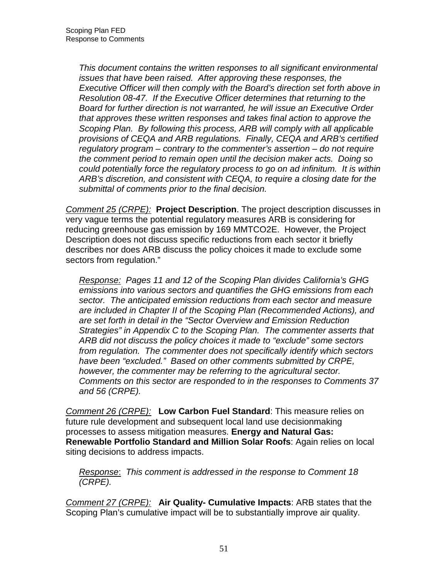This document contains the written responses to all significant environmental issues that have been raised. After approving these responses, the Executive Officer will then comply with the Board's direction set forth above in Resolution 08-47. If the Executive Officer determines that returning to the Board for further direction is not warranted, he will issue an Executive Order that approves these written responses and takes final action to approve the Scoping Plan. By following this process, ARB will comply with all applicable provisions of CEQA and ARB regulations. Finally, CEQA and ARB's certified regulatory program – contrary to the commenter's assertion – do not require the comment period to remain open until the decision maker acts. Doing so could potentially force the regulatory process to go on ad infinitum. It is within ARB's discretion, and consistent with CEQA, to require a closing date for the submittal of comments prior to the final decision.

 Comment 25 (CRPE): **Project Description**. The project description discusses in very vague terms the potential regulatory measures ARB is considering for reducing greenhouse gas emission by 169 MMTCO2E. However, the Project Description does not discuss specific reductions from each sector it briefly describes nor does ARB discuss the policy choices it made to exclude some sectors from regulation."

Response: Pages 11 and 12 of the Scoping Plan divides California's GHG emissions into various sectors and quantifies the GHG emissions from each sector. The anticipated emission reductions from each sector and measure are included in Chapter II of the Scoping Plan (Recommended Actions), and are set forth in detail in the "Sector Overview and Emission Reduction Strategies" in Appendix C to the Scoping Plan. The commenter asserts that ARB did not discuss the policy choices it made to "exclude" some sectors from regulation. The commenter does not specifically identify which sectors have been "excluded." Based on other comments submitted by CRPE, however, the commenter may be referring to the agricultural sector. Comments on this sector are responded to in the responses to Comments 37 and 56 (CRPE).

 Comment 26 (CRPE): **Low Carbon Fuel Standard**: This measure relies on future rule development and subsequent local land use decisionmaking processes to assess mitigation measures. **Energy and Natural Gas: Renewable Portfolio Standard and Million Solar Roofs**: Again relies on local siting decisions to address impacts.

Response: This comment is addressed in the response to Comment 18 (CRPE).

 Comment 27 (CRPE): **Air Quality- Cumulative Impacts**: ARB states that the Scoping Plan's cumulative impact will be to substantially improve air quality.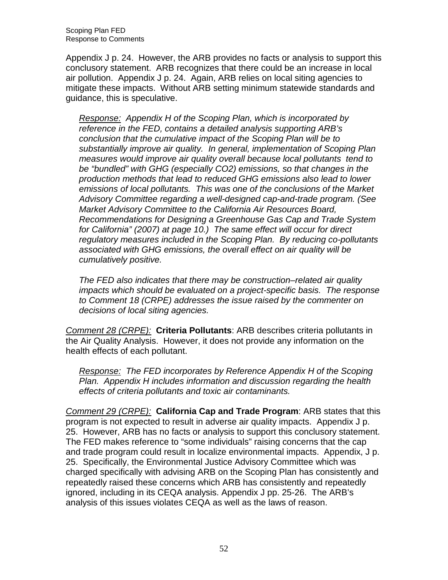Scoping Plan FED Response to Comments

 Appendix J p. 24. However, the ARB provides no facts or analysis to support this conclusory statement. ARB recognizes that there could be an increase in local air pollution. Appendix J p. 24. Again, ARB relies on local siting agencies to mitigate these impacts. Without ARB setting minimum statewide standards and guidance, this is speculative.

Response: Appendix H of the Scoping Plan, which is incorporated by reference in the FED, contains a detailed analysis supporting ARB's conclusion that the cumulative impact of the Scoping Plan will be to substantially improve air quality. In general, implementation of Scoping Plan measures would improve air quality overall because local pollutants tend to be "bundled" with GHG (especially CO2) emissions, so that changes in the production methods that lead to reduced GHG emissions also lead to lower emissions of local pollutants. This was one of the conclusions of the Market Advisory Committee regarding a well-designed cap-and-trade program. (See Market Advisory Committee to the California Air Resources Board, Recommendations for Designing a Greenhouse Gas Cap and Trade System for California" (2007) at page 10.) The same effect will occur for direct regulatory measures included in the Scoping Plan. By reducing co-pollutants associated with GHG emissions, the overall effect on air quality will be cumulatively positive.

cumulatively positive.<br>The FED also indicates that there may be construction–related air quality impacts which should be evaluated on a project-specific basis. The response to Comment 18 (CRPE) addresses the issue raised by the commenter on decisions of local siting agencies.

 Comment 28 (CRPE): **Criteria Pollutants**: ARB describes criteria pollutants in the Air Quality Analysis. However, it does not provide any information on the health effects of each pollutant.

Response: The FED incorporates by Reference Appendix H of the Scoping Plan. Appendix H includes information and discussion regarding the health effects of criteria pollutants and toxic air contaminants.

 Comment 29 (CRPE): **California Cap and Trade Program**: ARB states that this program is not expected to result in adverse air quality impacts. Appendix J p. 25. However, ARB has no facts or analysis to support this conclusory statement. The FED makes reference to "some individuals" raising concerns that the cap and trade program could result in localize environmental impacts. Appendix, J p. 25. Specifically, the Environmental Justice Advisory Committee which was charged specifically with advising ARB on the Scoping Plan has consistently and repeatedly raised these concerns which ARB has consistently and repeatedly ignored, including in its CEQA analysis. Appendix J pp. 25-26. The ARB's analysis of this issues violates CEQA as well as the laws of reason.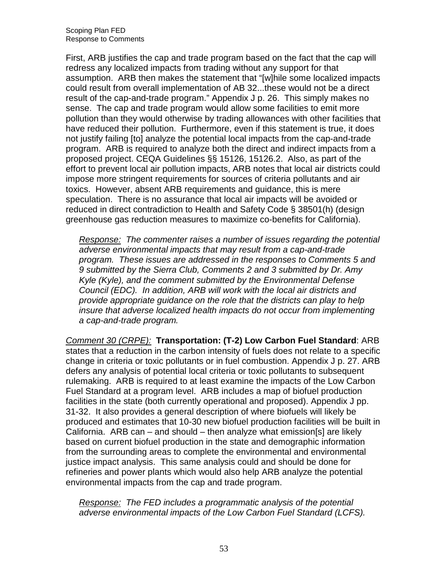First, ARB justifies the cap and trade program based on the fact that the cap will redress any localized impacts from trading without any support for that assumption. ARB then makes the statement that "[w]hile some localized impacts could result from overall implementation of AB 32...these would not be a direct result of the cap-and-trade program." Appendix J p. 26. This simply makes no sense. The cap and trade program would allow some facilities to emit more pollution than they would otherwise by trading allowances with other facilities that have reduced their pollution. Furthermore, even if this statement is true, it does not justify failing [to] analyze the potential local impacts from the cap-and-trade program. ARB is required to analyze both the direct and indirect impacts from a proposed project. CEQA Guidelines §§ 15126, 15126.2. Also, as part of the effort to prevent local air pollution impacts, ARB notes that local air districts could impose more stringent requirements for sources of criteria pollutants and air toxics. However, absent ARB requirements and guidance, this is mere speculation. There is no assurance that local air impacts will be avoided or reduced in direct contradiction to Health and Safety Code § 38501(h) (design greenhouse gas reduction measures to maximize co-benefits for California).

Response: The commenter raises a number of issues regarding the potential adverse environmental impacts that may result from a cap-and-trade program. These issues are addressed in the responses to Comments 5 and 9 submitted by the Sierra Club, Comments 2 and 3 submitted by Dr. Amy Kyle (Kyle), and the comment submitted by the Environmental Defense Council (EDC). In addition, ARB will work with the local air districts and provide appropriate guidance on the role that the districts can play to help insure that adverse localized health impacts do not occur from implementing a cap-and-trade program.

 Comment 30 (CRPE): **Transportation: (T-2) Low Carbon Fuel Standard**: ARB states that a reduction in the carbon intensity of fuels does not relate to a specific change in criteria or toxic pollutants or in fuel combustion. Appendix J p. 27. ARB defers any analysis of potential local criteria or toxic pollutants to subsequent rulemaking. ARB is required to at least examine the impacts of the Low Carbon Fuel Standard at a program level. ARB includes a map of biofuel production facilities in the state (both currently operational and proposed). Appendix J pp. 31-32. It also provides a general description of where biofuels will likely be produced and estimates that 10-30 new biofuel production facilities will be built in California. ARB can – and should – then analyze what emission[s] are likely based on current biofuel production in the state and demographic information from the surrounding areas to complete the environmental and environmental justice impact analysis. This same analysis could and should be done for refineries and power plants which would also help ARB analyze the potential environmental impacts from the cap and trade program.

Response: The FED includes a programmatic analysis of the potential adverse environmental impacts of the Low Carbon Fuel Standard (LCFS).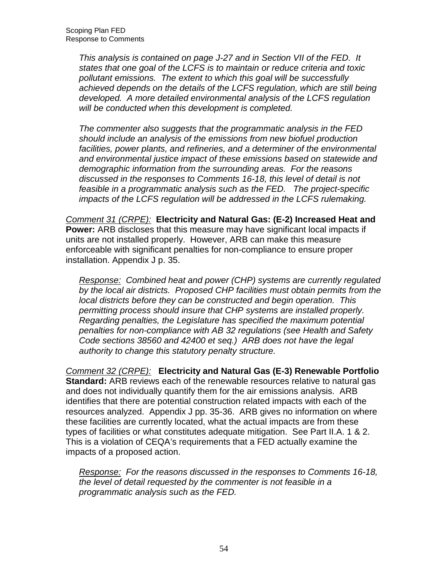This analysis is contained on page J-27 and in Section VII of the FED. It states that one goal of the LCFS is to maintain or reduce criteria and toxic pollutant emissions. The extent to which this goal will be successfully achieved depends on the details of the LCFS regulation, which are still being developed. A more detailed environmental analysis of the LCFS regulation will be conducted when this development is completed.

 The commenter also suggests that the programmatic analysis in the FED should include an analysis of the emissions from new biofuel production facilities, power plants, and refineries, and a determiner of the environmental and environmental justice impact of these emissions based on statewide and demographic information from the surrounding areas. For the reasons discussed in the responses to Comments 16-18, this level of detail is not feasible in a programmatic analysis such as the FED. The project-specific impacts of the LCFS regulation will be addressed in the LCFS rulemaking.

 Comment 31 (CRPE): **Electricity and Natural Gas: (E-2) Increased Heat and Power:** ARB discloses that this measure may have significant local impacts if units are not installed properly. However, ARB can make this measure enforceable with significant penalties for non-compliance to ensure proper installation. Appendix J p. 35.

Response: Combined heat and power (CHP) systems are currently regulated by the local air districts. Proposed CHP facilities must obtain permits from the local districts before they can be constructed and begin operation. This permitting process should insure that CHP systems are installed properly. Regarding penalties, the Legislature has specified the maximum potential penalties for non-compliance with AB 32 regulations (see Health and Safety Code sections 38560 and 42400 et seq.) ARB does not have the legal authority to change this statutory penalty structure.

 Comment 32 (CRPE): **Electricity and Natural Gas (E-3) Renewable Portfolio Standard:** ARB reviews each of the renewable resources relative to natural gas and does not individually quantify them for the air emissions analysis. ARB identifies that there are potential construction related impacts with each of the resources analyzed. Appendix J pp. 35-36. ARB gives no information on where these facilities are currently located, what the actual impacts are from these types of facilities or what constitutes adequate mitigation. See Part II.A. 1 & 2. This is a violation of CEQA's requirements that a FED actually examine the impacts of a proposed action.

Response: For the reasons discussed in the responses to Comments 16-18, the level of detail requested by the commenter is not feasible in a programmatic analysis such as the FED.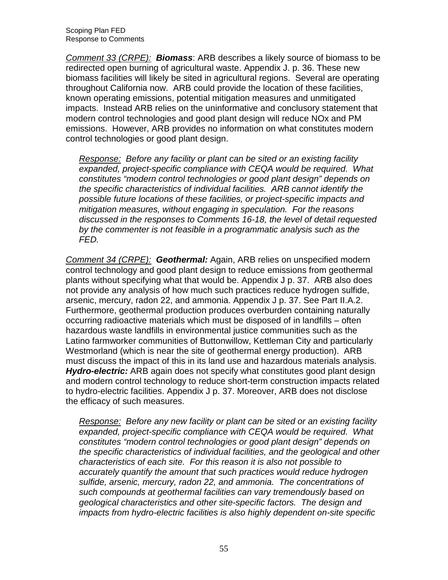Comment 33 (CRPE): **Biomass**: ARB describes a likely source of biomass to be redirected open burning of agricultural waste. Appendix J. p. 36. These new biomass facilities will likely be sited in agricultural regions. Several are operating throughout California now. ARB could provide the location of these facilities, known operating emissions, potential mitigation measures and unmitigated impacts. Instead ARB relies on the uninformative and conclusory statement that modern control technologies and good plant design will reduce NOx and PM emissions. However, ARB provides no information on what constitutes modern control technologies or good plant design.

Response: Before any facility or plant can be sited or an existing facility expanded, project-specific compliance with CEQA would be required. What constitutes "modern control technologies or good plant design" depends on the specific characteristics of individual facilities. ARB cannot identify the possible future locations of these facilities, or project-specific impacts and mitigation measures, without engaging in speculation. For the reasons discussed in the responses to Comments 16-18, the level of detail requested by the commenter is not feasible in a programmatic analysis such as the FED.

 FED. Comment 34 (CRPE): **Geothermal:** Again, ARB relies on unspecified modern control technology and good plant design to reduce emissions from geothermal plants without specifying what that would be. Appendix J p. 37. ARB also does not provide any analysis of how much such practices reduce hydrogen sulfide, arsenic, mercury, radon 22, and ammonia. Appendix J p. 37. See Part II.A.2. Furthermore, geothermal production produces overburden containing naturally occurring radioactive materials which must be disposed of in landfills – often hazardous waste landfills in environmental justice communities such as the Latino farmworker communities of Buttonwillow, Kettleman City and particularly Westmorland (which is near the site of geothermal energy production). ARB must discuss the impact of this in its land use and hazardous materials analysis. **Hydro-electric:** ARB again does not specify what constitutes good plant design and modern control technology to reduce short-term construction impacts related to hydro-electric facilities. Appendix J p. 37. Moreover, ARB does not disclose the efficacy of such measures.

Response: Before any new facility or plant can be sited or an existing facility expanded, project-specific compliance with CEQA would be required. What constitutes "modern control technologies or good plant design" depends on the specific characteristics of individual facilities, and the geological and other characteristics of each site. For this reason it is also not possible to accurately quantify the amount that such practices would reduce hydrogen sulfide, arsenic, mercury, radon 22, and ammonia. The concentrations of such compounds at geothermal facilities can vary tremendously based on geological characteristics and other site-specific factors. The design and impacts from hydro-electric facilities is also highly dependent on-site specific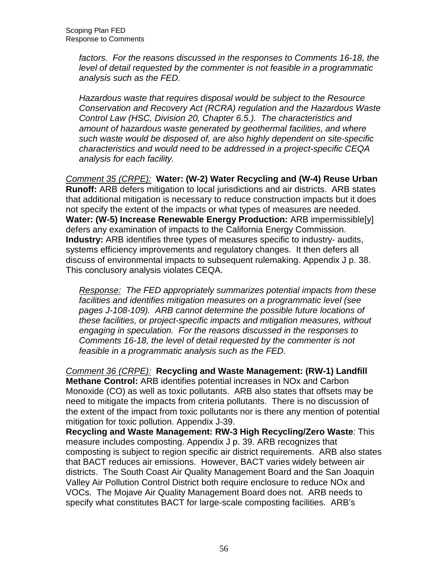factors. For the reasons discussed in the responses to Comments 16-18, the level of detail requested by the commenter is not feasible in a programmatic analysis such as the FED.

 Hazardous waste that requires disposal would be subject to the Resource Conservation and Recovery Act (RCRA) regulation and the Hazardous Waste Control Law (HSC, Division 20, Chapter 6.5.). The characteristics and amount of hazardous waste generated by geothermal facilities, and where such waste would be disposed of, are also highly dependent on site-specific characteristics and would need to be addressed in a project-specific CEQA analysis for each facility.

 Comment 35 (CRPE): **Water: (W-2) Water Recycling and (W-4) Reuse Urban Runoff:** ARB defers mitigation to local jurisdictions and air districts. ARB states that additional mitigation is necessary to reduce construction impacts but it does not specify the extent of the impacts or what types of measures are needed.  **Water: (W-5) Increase Renewable Energy Production:** ARB impermissible[y] defers any examination of impacts to the California Energy Commission. **Industry:** ARB identifies three types of measures specific to industry- audits, systems efficiency improvements and regulatory changes. It then defers all discuss of environmental impacts to subsequent rulemaking. Appendix J p. 38. This conclusory analysis violates CEQA.

Response: The FED appropriately summarizes potential impacts from these facilities and identifies mitigation measures on a programmatic level (see pages J-108-109). ARB cannot determine the possible future locations of these facilities, or project-specific impacts and mitigation measures, without engaging in speculation. For the reasons discussed in the responses to Comments 16-18, the level of detail requested by the commenter is not feasible in a programmatic analysis such as the FED.

 Comment 36 (CRPE): **Recycling and Waste Management: (RW-1) Landfill Methane Control:** ARB identifies potential increases in NOx and Carbon Monoxide (CO) as well as toxic pollutants. ARB also states that offsets may be need to mitigate the impacts from criteria pollutants. There is no discussion of the extent of the impact from toxic pollutants nor is there any mention of potential mitigation for toxic pollution. Appendix J-39.

 **Recycling and Waste Management: RW-3 High Recycling/Zero Waste**: This measure includes composting. Appendix J p. 39. ARB recognizes that composting is subject to region specific air district requirements. ARB also states that BACT reduces air emissions. However, BACT varies widely between air districts. The South Coast Air Quality Management Board and the San Joaquin Valley Air Pollution Control District both require enclosure to reduce NOx and VOCs. The Mojave Air Quality Management Board does not. ARB needs to specify what constitutes BACT for large-scale composting facilities. ARB's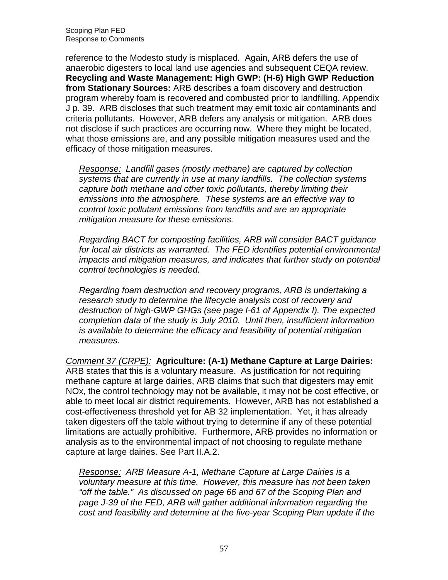Scoping Plan FED Response to Comments

 reference to the Modesto study is misplaced. Again, ARB defers the use of anaerobic digesters to local land use agencies and subsequent CEQA review.  **Recycling and Waste Management: High GWP: (H-6) High GWP Reduction from Stationary Sources:** ARB describes a foam discovery and destruction program whereby foam is recovered and combusted prior to landfilling. Appendix J p. 39. ARB discloses that such treatment may emit toxic air contaminants and criteria pollutants. However, ARB defers any analysis or mitigation. ARB does not disclose if such practices are occurring now. Where they might be located, what those emissions are, and any possible mitigation measures used and the efficacy of those mitigation measures.

Response: Landfill gases (mostly methane) are captured by collection systems that are currently in use at many landfills. The collection systems capture both methane and other toxic pollutants, thereby limiting their emissions into the atmosphere. These systems are an effective way to control toxic pollutant emissions from landfills and are an appropriate mitigation measure for these emissions.

 Regarding BACT for composting facilities, ARB will consider BACT guidance for local air districts as warranted. The FED identifies potential environmental impacts and mitigation measures, and indicates that further study on potential control technologies is needed.

 Regarding foam destruction and recovery programs, ARB is undertaking a research study to determine the lifecycle analysis cost of recovery and destruction of high-GWP GHGs (see page I-61 of Appendix I). The expected completion data of the study is July 2010. Until then, insufficient information is available to determine the efficacy and feasibility of potential mitigation measures.

 measures. Comment 37 (CRPE): **Agriculture: (A-1) Methane Capture at Large Dairies:**  ARB states that this is a voluntary measure. As justification for not requiring methane capture at large dairies, ARB claims that such that digesters may emit NOx, the control technology may not be available, it may not be cost effective, or able to meet local air district requirements. However, ARB has not established a cost-effectiveness threshold yet for AB 32 implementation. Yet, it has already taken digesters off the table without trying to determine if any of these potential limitations are actually prohibitive. Furthermore, ARB provides no information or analysis as to the environmental impact of not choosing to regulate methane capture at large dairies. See Part II.A.2.

Response: ARB Measure A-1, Methane Capture at Large Dairies is a voluntary measure at this time. However, this measure has not been taken "off the table." As discussed on page 66 and 67 of the Scoping Plan and page J-39 of the FED, ARB will gather additional information regarding the cost and feasibility and determine at the five-year Scoping Plan update if the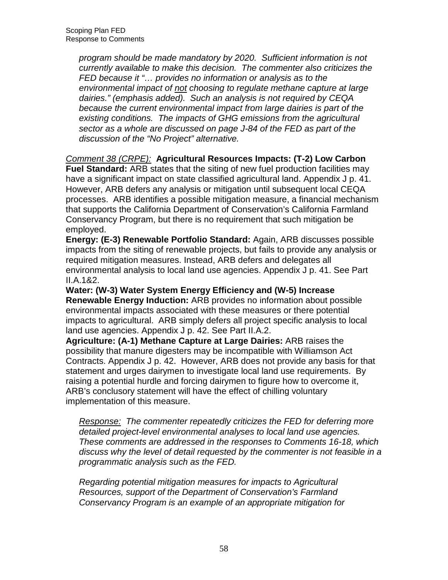program should be made mandatory by 2020. Sufficient information is not currently available to make this decision. The commenter also criticizes the FED because it "... provides no information or analysis as to the environmental impact of not choosing to regulate methane capture at large dairies." (emphasis added). Such an analysis is not required by CEQA because the current environmental impact from large dairies is part of the existing conditions. The impacts of GHG emissions from the agricultural sector as a whole are discussed on page J-84 of the FED as part of the discussion of the "No Project" alternative.

Comment 38 (CRPE): **Agricultural Resources Impacts: (T-2) Low Carbon** 

 **Fuel Standard:** ARB states that the siting of new fuel production facilities may have a significant impact on state classified agricultural land. Appendix J p. 41. However, ARB defers any analysis or mitigation until subsequent local CEQA processes. ARB identifies a possible mitigation measure, a financial mechanism that supports the California Department of Conservation's California Farmland Conservancy Program, but there is no requirement that such mitigation be employed.

 **Energy: (E-3) Renewable Portfolio Standard:** Again, ARB discusses possible impacts from the siting of renewable projects, but fails to provide any analysis or required mitigation measures. Instead, ARB defers and delegates all environmental analysis to local land use agencies. Appendix J p. 41. See Part II.A.1&2.

 **Water: (W-3) Water System Energy Efficiency and (W-5) Increase Renewable Energy Induction:** ARB provides no information about possible environmental impacts associated with these measures or there potential impacts to agricultural. ARB simply defers all project specific analysis to local land use agencies. Appendix J p. 42. See Part II.A.2.

 **Agriculture: (A-1) Methane Capture at Large Dairies:** ARB raises the possibility that manure digesters may be incompatible with Williamson Act Contracts. Appendix J p. 42. However, ARB does not provide any basis for that statement and urges dairymen to investigate local land use requirements. By raising a potential hurdle and forcing dairymen to figure how to overcome it, ARB's conclusory statement will have the effect of chilling voluntary implementation of this measure.

Response: The commenter repeatedly criticizes the FED for deferring more detailed project-level environmental analyses to local land use agencies. These comments are addressed in the responses to Comments 16-18, which discuss why the level of detail requested by the commenter is not feasible in a programmatic analysis such as the FED.

 Regarding potential mitigation measures for impacts to Agricultural Resources, support of the Department of Conservation's Farmland Conservancy Program is an example of an appropriate mitigation for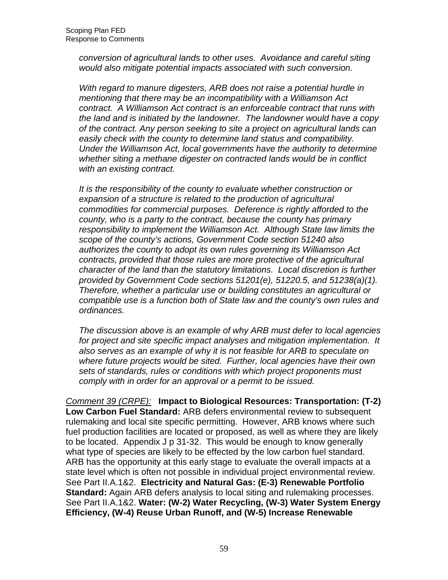conversion of agricultural lands to other uses. Avoidance and careful siting would also mitigate potential impacts associated with such conversion.

 With regard to manure digesters, ARB does not raise a potential hurdle in mentioning that there may be an incompatibility with a Williamson Act contract. A Williamson Act contract is an enforceable contract that runs with the land and is initiated by the landowner. The landowner would have a copy of the contract. Any person seeking to site a project on agricultural lands can easily check with the county to determine land status and compatibility. Under the Williamson Act, local governments have the authority to determine whether siting a methane digester on contracted lands would be in conflict with an existing contract.

 It is the responsibility of the county to evaluate whether construction or expansion of a structure is related to the production of agricultural commodities for commercial purposes. Deference is rightly afforded to the county, who is a party to the contract, because the county has primary responsibility to implement the Williamson Act. Although State law limits the scope of the county's actions, Government Code section 51240 also authorizes the county to adopt its own rules governing its Williamson Act contracts, provided that those rules are more protective of the agricultural character of the land than the statutory limitations. Local discretion is further provided by Government Code sections 51201(e), 51220.5, and 51238(a)(1). Therefore, whether a particular use or building constitutes an agricultural or compatible use is a function both of State law and the county's own rules and ordinances.

ordinances.<br>The discussion above is an example of why ARB must defer to local agencies for project and site specific impact analyses and mitigation implementation. It also serves as an example of why it is not feasible for ARB to speculate on where future projects would be sited. Further, local agencies have their own sets of standards, rules or conditions with which project proponents must comply with in order for an approval or a permit to be issued.

 Comment 39 (CRPE): **Impact to Biological Resources: Transportation: (T-2) Low Carbon Fuel Standard:** ARB defers environmental review to subsequent rulemaking and local site specific permitting. However, ARB knows where such fuel production facilities are located or proposed, as well as where they are likely to be located. Appendix J p 31-32. This would be enough to know generally what type of species are likely to be effected by the low carbon fuel standard. ARB has the opportunity at this early stage to evaluate the overall impacts at a state level which is often not possible in individual project environmental review. See Part II.A.1&2. **Electricity and Natural Gas: (E-3) Renewable Portfolio Standard:** Again ARB defers analysis to local siting and rulemaking processes. See Part II.A.1&2. **Water: (W-2) Water Recycling, (W-3) Water System Energy Efficiency, (W-4) Reuse Urban Runoff, and (W-5) Increase Renewable**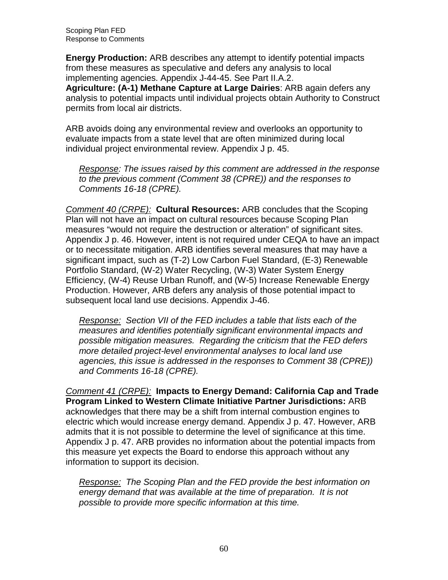Scoping Plan FED Response to Comments

 **Energy Production:** ARB describes any attempt to identify potential impacts from these measures as speculative and defers any analysis to local implementing agencies. Appendix J-44-45. See Part II.A.2.

 **Agriculture: (A-1) Methane Capture at Large Dairies**: ARB again defers any analysis to potential impacts until individual projects obtain Authority to Construct permits from local air districts.

 ARB avoids doing any environmental review and overlooks an opportunity to evaluate impacts from a state level that are often minimized during local individual project environmental review. Appendix J p. 45.

Response: The issues raised by this comment are addressed in the response to the previous comment (Comment 38 (CPRE)) and the responses to Comments 16-18 (CPRE).

 Comment 40 (CRPE): **Cultural Resources:** ARB concludes that the Scoping Plan will not have an impact on cultural resources because Scoping Plan measures "would not require the destruction or alteration" of significant sites. Appendix J p. 46. However, intent is not required under CEQA to have an impact or to necessitate mitigation. ARB identifies several measures that may have a significant impact, such as (T-2) Low Carbon Fuel Standard, (E-3) Renewable Portfolio Standard, (W-2) Water Recycling, (W-3) Water System Energy Efficiency, (W-4) Reuse Urban Runoff, and (W-5) Increase Renewable Energy Production. However, ARB defers any analysis of those potential impact to subsequent local land use decisions. Appendix J-46.

Response: Section VII of the FED includes a table that lists each of the possible mitigation measures. Regarding the criticism that the FED defers more detailed project-level environmental analyses to local land use agencies, this issue is addressed in the responses to Comment 38 (CPRE)) and Comments 16-18 (CPRE). measures and identifies potentially significant environmental impacts and

 Comment 41 (CRPE): **Impacts to Energy Demand: California Cap and Trade Program Linked to Western Climate Initiative Partner Jurisdictions:** ARB acknowledges that there may be a shift from internal combustion engines to electric which would increase energy demand. Appendix J p. 47. However, ARB admits that it is not possible to determine the level of significance at this time. Appendix J p. 47. ARB provides no information about the potential impacts from this measure yet expects the Board to endorse this approach without any information to support its decision.

Response: The Scoping Plan and the FED provide the best information on energy demand that was available at the time of preparation. It is not possible to provide more specific information at this time.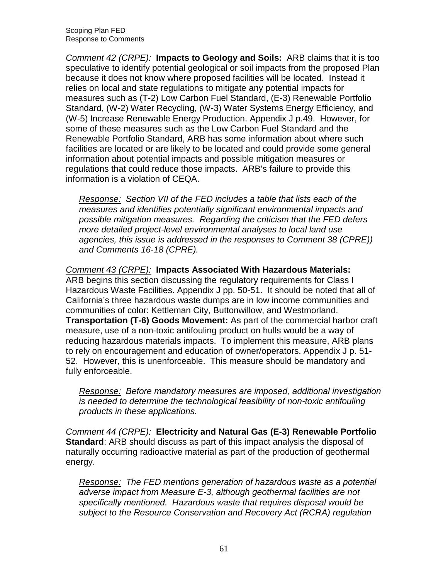Comment 42 (CRPE): **Impacts to GeoIogy and Soils:** ARB claims that it is too speculative to identify potential geological or soil impacts from the proposed Plan because it does not know where proposed facilities will be located. Instead it relies on local and state regulations to mitigate any potential impacts for measures such as (T-2) Low Carbon Fuel Standard, (E-3) Renewable Portfolio Standard, (W-2) Water Recycling, (W-3) Water Systems Energy Efficiency, and (W-5) Increase Renewable Energy Production. Appendix J p.49. However, for some of these measures such as the Low Carbon Fuel Standard and the Renewable Portfolio Standard, ARB has some information about where such facilities are located or are likely to be located and could provide some general information about potential impacts and possible mitigation measures or regulations that could reduce those impacts. ARB's failure to provide this information is a violation of CEQA.

Response: Section VII of the FED includes a table that lists each of the possible mitigation measures. Regarding the criticism that the FED defers more detailed project-level environmental analyses to local land use agencies, this issue is addressed in the responses to Comment 38 (CPRE)) and Comments 16-18 (CPRE). measures and identifies potentially significant environmental impacts and

Comment 43 (CRPE): **Impacts Associated With Hazardous Materials:** 

 ARB begins this section discussing the regulatory requirements for Class I Hazardous Waste Facilities. Appendix J pp. 50-51. It should be noted that all of California's three hazardous waste dumps are in low income communities and communities of color: Kettleman City, Buttonwillow, and Westmorland.  **Transportation (T-6) Goods Movement:** As part of the commercial harbor craft measure, use of a non-toxic antifouling product on hulls would be a way of reducing hazardous materials impacts. To implement this measure, ARB plans to rely on encouragement and education of owner/operators. Appendix J p. 51- 52. However, this is unenforceable. This measure should be mandatory and fully enforceable.

Response: Before mandatory measures are imposed, additional investigation is needed to determine the technological feasibility of non-toxic antifouling products in these applications.

 Comment 44 (CRPE): **Electricity and Natural Gas (E-3) Renewable Portfolio Standard**: ARB should discuss as part of this impact analysis the disposal of naturally occurring radioactive material as part of the production of geothermal energy.

Response: The FED mentions generation of hazardous waste as a potential adverse impact from Measure E-3, although geothermal facilities are not specifically mentioned. Hazardous waste that requires disposal would be subject to the Resource Conservation and Recovery Act (RCRA) regulation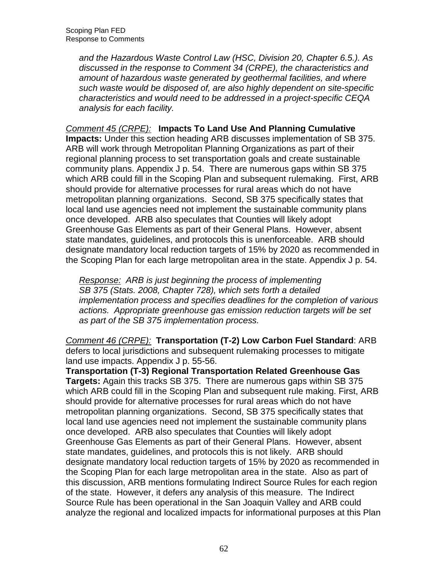and the Hazardous Waste Control Law (HSC, Division 20, Chapter 6.5.). As discussed in the response to Comment 34 (CRPE), the characteristics and amount of hazardous waste generated by geothermal facilities, and where such waste would be disposed of, are also highly dependent on site-specific characteristics and would need to be addressed in a project-specific CEQA analysis for each facility.

#### Comment 45 (CRPE): **Impacts To Land Use And Planning Cumulative**

 **Impacts:** Under this section heading ARB discusses implementation of SB 375. ARB will work through Metropolitan Planning Organizations as part of their regional planning process to set transportation goals and create sustainable community plans. Appendix J p. 54. There are numerous gaps within SB 375 which ARB could fill in the Scoping Plan and subsequent rulemaking. First, ARB should provide for alternative processes for rural areas which do not have metropolitan planning organizations. Second, SB 375 specifically states that local land use agencies need not implement the sustainable community plans once developed. ARB also speculates that Counties will likely adopt Greenhouse Gas Elements as part of their General Plans. However, absent state mandates, guidelines, and protocols this is unenforceable. ARB should designate mandatory local reduction targets of 15% by 2020 as recommended in the Scoping Plan for each large metropolitan area in the state. Appendix J p. 54.

Response: ARB is just beginning the process of implementing SB 375 (Stats. 2008, Chapter 728), which sets forth a detailed implementation process and specifies deadlines for the completion of various actions. Appropriate greenhouse gas emission reduction targets will be set as part of the SB 375 implementation process.

 Comment 46 (CRPE): **Transportation (T-2) Low Carbon Fuel Standard**: ARB defers to local jurisdictions and subsequent rulemaking processes to mitigate land use impacts. Appendix J p. 55-56.

 **Transportation (T-3) Regional Transportation Related Greenhouse Gas Targets:** Again this tracks SB 375. There are numerous gaps within SB 375 which ARB could fill in the Scoping Plan and subsequent rule making. First, ARB should provide for alternative processes for rural areas which do not have metropolitan planning organizations. Second, SB 375 specifically states that local land use agencies need not implement the sustainable community plans once developed. ARB also speculates that Counties will likely adopt Greenhouse Gas Elements as part of their General Plans. However, absent state mandates, guidelines, and protocols this is not likely. ARB should designate mandatory local reduction targets of 15% by 2020 as recommended in the Scoping Plan for each large metropolitan area in the state. Also as part of this discussion, ARB mentions formulating Indirect Source Rules for each region of the state. However, it defers any analysis of this measure. The Indirect Source Rule has been operational in the San Joaquin Valley and ARB could analyze the regional and localized impacts for informational purposes at this Plan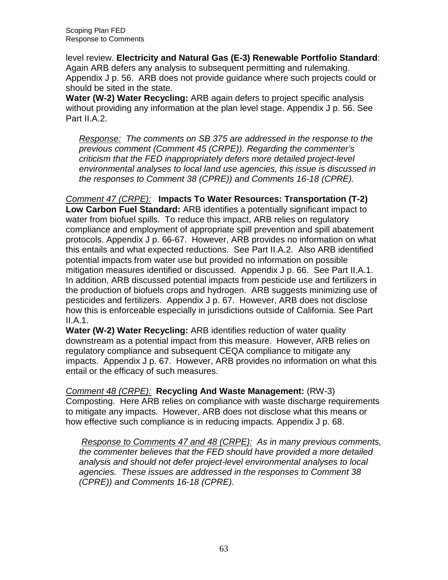Scoping Plan FED Response to Comments

 level review. **Electricity and Natural Gas (E-3) Renewable Portfolio Standard**: Again ARB defers any analysis to subsequent permitting and rulemaking. Appendix J p. 56. ARB does not provide guidance where such projects could or should be sited in the state.

Water (W-2) Water Recycling: ARB again defers to project specific analysis without providing any information at the plan level stage. Appendix J p. 56. See Part II.A.2.

Response: The comments on SB 375 are addressed in the response to the previous comment (Comment 45 (CRPE)). Regarding the commenter's criticism that the FED inappropriately defers more detailed project-level environmental analyses to local land use agencies, this issue is discussed in the responses to Comment 38 (CPRE)) and Comments 16-18 (CPRE).

 Comment 47 (CRPE): **Impacts To Water Resources: Transportation (T-2) Low Carbon Fuel Standard:** ARB identifies a potentially significant impact to water from biofuel spills. To reduce this impact, ARB relies on regulatory compliance and employment of appropriate spill prevention and spill abatement protocols. Appendix J p. 66-67. However, ARB provides no information on what this entails and what expected reductions. See Part II.A.2. Also ARB identified potential impacts from water use but provided no information on possible mitigation measures identified or discussed. Appendix J p. 66. See Part II.A.1. In addition, ARB discussed potential impacts from pesticide use and fertilizers in the production of biofuels crops and hydrogen. ARB suggests minimizing use of pesticides and fertilizers. Appendix J p. 67. However, ARB does not disclose how this is enforceable especially in jurisdictions outside of California. See Part II.A.1.

Water (W-2) Water Recycling: ARB identifies reduction of water quality downstream as a potential impact from this measure. However, ARB relies on regulatory compliance and subsequent CEQA compliance to mitigate any impacts. Appendix J p. 67. However, ARB provides no information on what this entail or the efficacy of such measures.

 Comment 48 (CRPE): **Recycling And Waste Management:** (RW-3) Composting. Here ARB relies on compliance with waste discharge requirements to mitigate any impacts. However, ARB does not disclose what this means or how effective such compliance is in reducing impacts. Appendix J p. 68.

Response to Comments 47 and 48 (CRPE): As in many previous comments, the commenter believes that the FED should have provided a more detailed analysis and should not defer project-level environmental analyses to local agencies. These issues are addressed in the responses to Comment 38 (CPRE)) and Comments 16-18 (CPRE).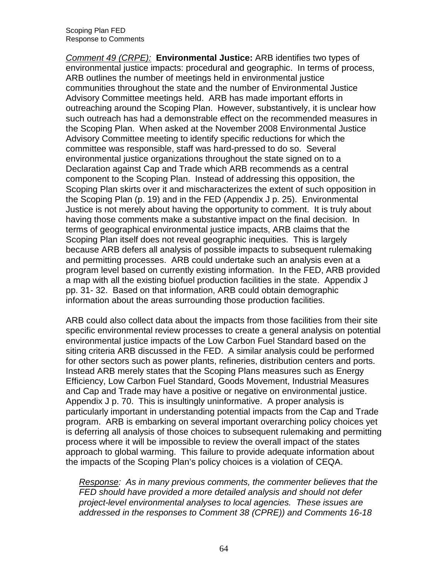Comment 49 (CRPE): **Environmental Justice:** ARB identifies two types of environmental justice impacts: procedural and geographic. In terms of process, ARB outlines the number of meetings held in environmental justice communities throughout the state and the number of Environmental Justice Advisory Committee meetings held. ARB has made important efforts in outreaching around the Scoping Plan. However, substantively, it is unclear how such outreach has had a demonstrable effect on the recommended measures in the Scoping Plan. When asked at the November 2008 Environmental Justice Advisory Committee meeting to identify specific reductions for which the committee was responsible, staff was hard-pressed to do so. Several environmental justice organizations throughout the state signed on to a Declaration against Cap and Trade which ARB recommends as a central component to the Scoping Plan. Instead of addressing this opposition, the Scoping Plan skirts over it and mischaracterizes the extent of such opposition in the Scoping Plan (p. 19) and in the FED (Appendix J p. 25). Environmental Justice is not merely about having the opportunity to comment. It is truly about having those comments make a substantive impact on the final decision. In terms of geographical environmental justice impacts, ARB claims that the Scoping Plan itself does not reveal geographic inequities. This is largely because ARB defers all analysis of possible impacts to subsequent rulemaking and permitting processes. ARB could undertake such an analysis even at a program level based on currently existing information. In the FED, ARB provided a map with all the existing biofuel production facilities in the state. Appendix J pp. 31- 32. Based on that information, ARB could obtain demographic information about the areas surrounding those production facilities.

 ARB could also collect data about the impacts from those facilities from their site specific environmental review processes to create a general analysis on potential environmental justice impacts of the Low Carbon Fuel Standard based on the siting criteria ARB discussed in the FED. A similar analysis could be performed for other sectors such as power plants, refineries, distribution centers and ports. Instead ARB merely states that the Scoping Plans measures such as Energy Efficiency, Low Carbon Fuel Standard, Goods Movement, Industrial Measures and Cap and Trade may have a positive or negative on environmental justice. Appendix J p. 70. This is insultingly uninformative. A proper analysis is particularly important in understanding potential impacts from the Cap and Trade program. ARB is embarking on several important overarching policy choices yet is deferring all analysis of those choices to subsequent rulemaking and permitting process where it will be impossible to review the overall impact of the states approach to global warming. This failure to provide adequate information about the impacts of the Scoping Plan's policy choices is a violation of CEQA.

Response: As in many previous comments, the commenter believes that the FED should have provided a more detailed analysis and should not defer project-level environmental analyses to local agencies. These issues are addressed in the responses to Comment 38 (CPRE)) and Comments 16-18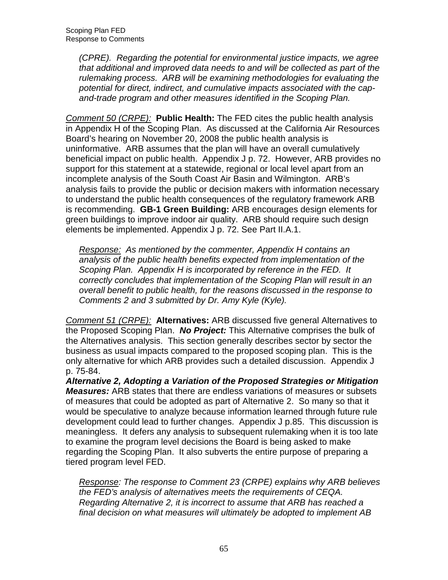(CPRE). Regarding the potential for environmental justice impacts, we agree that additional and improved data needs to and will be collected as part of the rulemaking process. ARB will be examining methodologies for evaluating the potential for direct, indirect, and cumulative impacts associated with the cap-and-trade program and other measures identified in the Scoping Plan.

 Comment 50 (CRPE): **Public Health:** The FED cites the public health analysis in Appendix H of the Scoping Plan. As discussed at the California Air Resources Board's hearing on November 20, 2008 the public health analysis is uninformative. ARB assumes that the plan will have an overall cumulatively beneficial impact on public health. Appendix J p. 72. However, ARB provides no support for this statement at a statewide, regional or local level apart from an incomplete analysis of the South Coast Air Basin and Wilmington. ARB's analysis fails to provide the public or decision makers with information necessary to understand the public health consequences of the regulatory framework ARB is recommending. **GB-1 Green Building:** ARB encourages design elements for green buildings to improve indoor air quality. ARB should require such design elements be implemented. Appendix J p. 72. See Part II.A.1.

Response: As mentioned by the commenter, Appendix H contains an analysis of the public health benefits expected from implementation of the Scoping Plan. Appendix H is incorporated by reference in the FED. It correctly concludes that implementation of the Scoping Plan will result in an overall benefit to public health, for the reasons discussed in the response to Comments 2 and 3 submitted by Dr. Amy Kyle (Kyle).

 Comment 51 (CRPE): **Alternatives:** ARB discussed five general Alternatives to the Proposed Scoping Plan. **No Project:** This Alternative comprises the bulk of the Alternatives analysis. This section generally describes sector by sector the business as usual impacts compared to the proposed scoping plan. This is the only alternative for which ARB provides such a detailed discussion. Appendix J p. 75-84.

 **Alternative 2, Adopting a Variation of the Proposed Strategies or Mitigation Measures:** ARB states that there are endless variations of measures or subsets of measures that could be adopted as part of Alternative 2. So many so that it would be speculative to analyze because information learned through future rule development could lead to further changes. Appendix J p.85. This discussion is meaningless. It defers any analysis to subsequent rulemaking when it is too late to examine the program level decisions the Board is being asked to make regarding the Scoping Plan. It also subverts the entire purpose of preparing a tiered program level FED.

Response: The response to Comment 23 (CRPE) explains why ARB believes the FED's analysis of alternatives meets the requirements of CEQA. Regarding Alternative 2, it is incorrect to assume that ARB has reached a final decision on what measures will ultimately be adopted to implement AB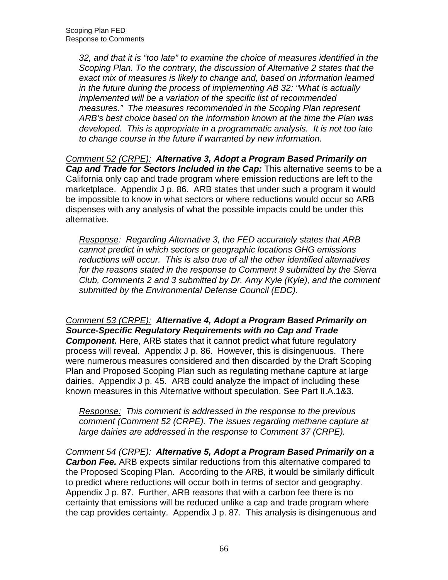32, and that it is "too late" to examine the choice of measures identified in the Scoping Plan. To the contrary, the discussion of Alternative 2 states that the exact mix of measures is likely to change and, based on information learned in the future during the process of implementing AB 32: "What is actually implemented will be a variation of the specific list of recommended measures." The measures recommended in the Scoping Plan represent ARB's best choice based on the information known at the time the Plan was developed. This is appropriate in a programmatic analysis. It is not too late to change course in the future if warranted by new information.

 Comment 52 (CRPE): **Alternative 3, Adopt a Program Based Primarily on Cap and Trade for Sectors Included in the Cap:** This alternative seems to be a California only cap and trade program where emission reductions are left to the marketplace. Appendix J p. 86. ARB states that under such a program it would be impossible to know in what sectors or where reductions would occur so ARB dispenses with any analysis of what the possible impacts could be under this alternative.

Response: Regarding Alternative 3, the FED accurately states that ARB cannot predict in which sectors or geographic locations GHG emissions reductions will occur. This is also true of all the other identified alternatives for the reasons stated in the response to Comment 9 submitted by the Sierra Club, Comments 2 and 3 submitted by Dr. Amy Kyle (Kyle), and the comment submitted by the Environmental Defense Council (EDC).

 Comment 53 (CRPE): **Alternative 4, Adopt a Program Based Primarily on Source-Specific Regulatory Requirements with no Cap and Trade Component.** Here, ARB states that it cannot predict what future regulatory process will reveal. Appendix J p. 86. However, this is disingenuous. There were numerous measures considered and then discarded by the Draft Scoping Plan and Proposed Scoping Plan such as regulating methane capture at large dairies. Appendix J p. 45. ARB could analyze the impact of including these known measures in this Alternative without speculation. See Part II.A.1&3.

Response: This comment is addressed in the response to the previous comment (Comment 52 (CRPE). The issues regarding methane capture at large dairies are addressed in the response to Comment 37 (CRPE).

 Comment 54 (CRPE): **Alternative 5, Adopt a Program Based Primarily on a Carbon Fee.** ARB expects similar reductions from this alternative compared to the Proposed Scoping Plan. According to the ARB, it would be similarly difficult to predict where reductions will occur both in terms of sector and geography. Appendix J p. 87. Further, ARB reasons that with a carbon fee there is no certainty that emissions will be reduced unlike a cap and trade program where the cap provides certainty. Appendix J p. 87. This analysis is disingenuous and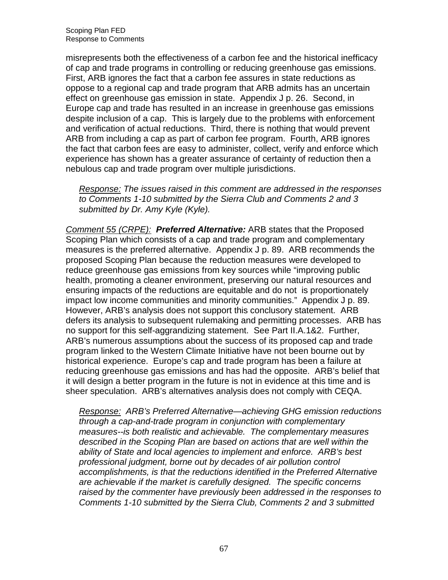misrepresents both the effectiveness of a carbon fee and the historical inefficacy of cap and trade programs in controlling or reducing greenhouse gas emissions. First, ARB ignores the fact that a carbon fee assures in state reductions as oppose to a regional cap and trade program that ARB admits has an uncertain effect on greenhouse gas emission in state. Appendix J p. 26. Second, in Europe cap and trade has resulted in an increase in greenhouse gas emissions despite inclusion of a cap. This is largely due to the problems with enforcement and verification of actual reductions. Third, there is nothing that would prevent ARB from including a cap as part of carbon fee program. Fourth, ARB ignores the fact that carbon fees are easy to administer, collect, verify and enforce which experience has shown has a greater assurance of certainty of reduction then a nebulous cap and trade program over multiple jurisdictions.

Response: The issues raised in this comment are addressed in the responses to Comments 1-10 submitted by the Sierra Club and Comments 2 and 3 submitted by Dr. Amy Kyle (Kyle).

 Comment 55 (CRPE): **Preferred Alternative:** ARB states that the Proposed Scoping Plan which consists of a cap and trade program and complementary measures is the preferred alternative. Appendix J p. 89. ARB recommends the proposed Scoping Plan because the reduction measures were developed to reduce greenhouse gas emissions from key sources while "improving public health, promoting a cleaner environment, preserving our natural resources and ensuring impacts of the reductions are equitable and do not is proportionately impact low income communities and minority communities." Appendix J p. 89. However, ARB's analysis does not support this conclusory statement. ARB defers its analysis to subsequent rulemaking and permitting processes. ARB has no support for this self-aggrandizing statement. See Part II.A.1&2. Further, ARB's numerous assumptions about the success of its proposed cap and trade program linked to the Western Climate Initiative have not been bourne out by historical experience. Europe's cap and trade program has been a failure at reducing greenhouse gas emissions and has had the opposite. ARB's belief that it will design a better program in the future is not in evidence at this time and is sheer speculation. ARB's alternatives analysis does not comply with CEQA.

 Response: ARB's Preferred Alternative—achieving GHG emission reductions through a cap-and-trade program in conjunction with complementary measures--is both realistic and achievable. The complementary measures described in the Scoping Plan are based on actions that are well within the ability of State and local agencies to implement and enforce. ARB's best professional judgment, borne out by decades of air pollution control accomplishments, is that the reductions identified in the Preferred Alternative are achievable if the market is carefully designed. The specific concerns raised by the commenter have previously been addressed in the responses to Comments 1-10 submitted by the Sierra Club, Comments 2 and 3 submitted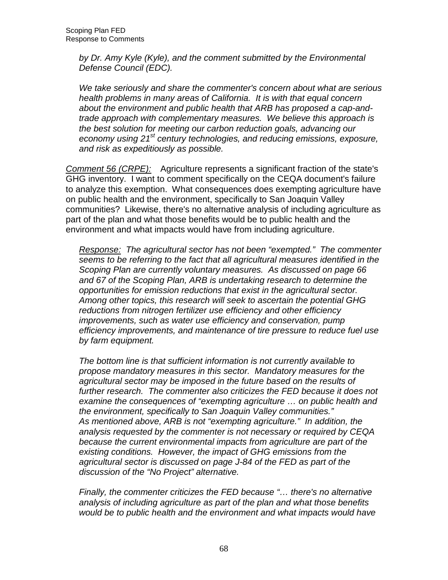by Dr. Amy Kyle (Kyle), and the comment submitted by the Environmental Defense Council (EDC).

 We take seriously and share the commenter's concern about what are serious health problems in many areas of California. It is with that equal concern about the environment and public health that ARB has proposed a cap-and- trade approach with complementary measures. We believe this approach is the best solution for meeting our carbon reduction goals, advancing our economy using 21<sup>st</sup> century technologies, and reducing emissions, exposure, and risk as expeditiously as possible.

Comment 56 (CRPE): Agriculture represents a significant fraction of the state's GHG inventory. I want to comment specifically on the CEQA document's failure to analyze this exemption. What consequences does exempting agriculture have on public health and the environment, specifically to San Joaquin Valley communities? Likewise, there's no alternative analysis of including agriculture as part of the plan and what those benefits would be to public health and the environment and what impacts would have from including agriculture.

Response: The agricultural sector has not been "exempted." The commenter seems to be referring to the fact that all agricultural measures identified in the Scoping Plan are currently voluntary measures. As discussed on page 66 and 67 of the Scoping Plan, ARB is undertaking research to determine the opportunities for emission reductions that exist in the agricultural sector. Among other topics, this research will seek to ascertain the potential GHG reductions from nitrogen fertilizer use efficiency and other efficiency improvements, such as water use efficiency and conservation, pump efficiency improvements, and maintenance of tire pressure to reduce fuel use by farm equipment.

 The bottom line is that sufficient information is not currently available to propose mandatory measures in this sector. Mandatory measures for the agricultural sector may be imposed in the future based on the results of further research. The commenter also criticizes the FED because it does not examine the consequences of "exempting agriculture … on public health and the environment, specifically to San Joaquin Valley communities." As mentioned above, ARB is not "exempting agriculture." In addition, the analysis requested by the commenter is not necessary or required by CEQA because the current environmental impacts from agriculture are part of the existing conditions. However, the impact of GHG emissions from the agricultural sector is discussed on page J-84 of the FED as part of the discussion of the "No Project" alternative.

 Finally, the commenter criticizes the FED because "… there's no alternative analysis of including agriculture as part of the plan and what those benefits would be to public health and the environment and what impacts would have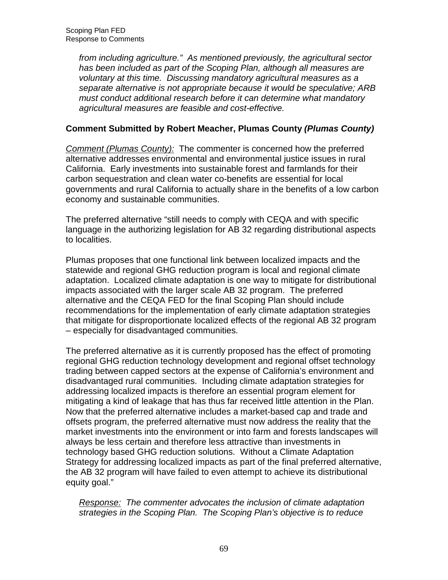from including agriculture." As mentioned previously, the agricultural sector has been included as part of the Scoping Plan, although all measures are voluntary at this time. Discussing mandatory agricultural measures as a separate alternative is not appropriate because it would be speculative; ARB must conduct additional research before it can determine what mandatory agricultural measures are feasible and cost-effective.

# **Comment Submitted by Robert Meacher, Plumas County (Plumas County)**

Comment (Plumas County): The commenter is concerned how the preferred alternative addresses environmental and environmental justice issues in rural California. Early investments into sustainable forest and farmlands for their carbon sequestration and clean water co-benefits are essential for local governments and rural California to actually share in the benefits of a low carbon economy and sustainable communities.

 The preferred alternative "still needs to comply with CEQA and with specific language in the authorizing legislation for AB 32 regarding distributional aspects to localities.

 Plumas proposes that one functional link between localized impacts and the statewide and regional GHG reduction program is local and regional climate adaptation. Localized climate adaptation is one way to mitigate for distributional impacts associated with the larger scale AB 32 program. The preferred alternative and the CEQA FED for the final Scoping Plan should include recommendations for the implementation of early climate adaptation strategies that mitigate for disproportionate localized effects of the regional AB 32 program – especially for disadvantaged communities.

 The preferred alternative as it is currently proposed has the effect of promoting regional GHG reduction technology development and regional offset technology trading between capped sectors at the expense of California's environment and disadvantaged rural communities. Including climate adaptation strategies for addressing localized impacts is therefore an essential program element for mitigating a kind of leakage that has thus far received little attention in the Plan. Now that the preferred alternative includes a market-based cap and trade and offsets program, the preferred alternative must now address the reality that the market investments into the environment or into farm and forests landscapes will always be less certain and therefore less attractive than investments in technology based GHG reduction solutions. Without a Climate Adaptation Strategy for addressing localized impacts as part of the final preferred alternative, the AB 32 program will have failed to even attempt to achieve its distributional equity goal."

Response: The commenter advocates the inclusion of climate adaptation strategies in the Scoping Plan. The Scoping Plan's objective is to reduce